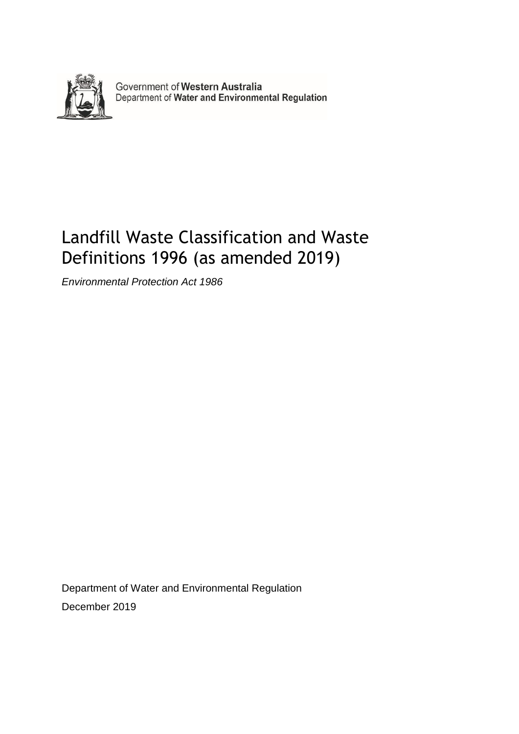

Government of Western Australia<br>Department of Water and Environmental Regulation

## Landfill Waste Classification and Waste Definitions 1996 (as amended 2019)

*Environmental Protection Act 1986*

Department of Water and Environmental Regulation December 2019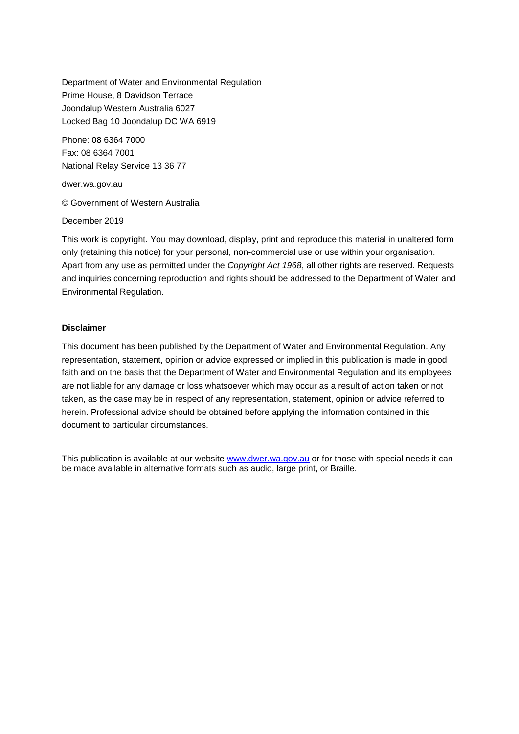Department of Water and Environmental Regulation Prime House, 8 Davidson Terrace Joondalup Western Australia 6027 Locked Bag 10 Joondalup DC WA 6919

Phone: 08 6364 7000 Fax: 08 6364 7001 National Relay Service 13 36 77

dwer.wa.gov.au

© Government of Western Australia

December 2019

This work is copyright. You may download, display, print and reproduce this material in unaltered form only (retaining this notice) for your personal, non-commercial use or use within your organisation. Apart from any use as permitted under the *Copyright Act 1968*, all other rights are reserved. Requests and inquiries concerning reproduction and rights should be addressed to the Department of Water and Environmental Regulation.

#### **Disclaimer**

This document has been published by the Department of Water and Environmental Regulation. Any representation, statement, opinion or advice expressed or implied in this publication is made in good faith and on the basis that the Department of Water and Environmental Regulation and its employees are not liable for any damage or loss whatsoever which may occur as a result of action taken or not taken, as the case may be in respect of any representation, statement, opinion or advice referred to herein. Professional advice should be obtained before applying the information contained in this document to particular circumstances.

This publication is available at our website [www.dwer.wa.gov.au](http://www.dwer.wa.gov.au/) or for those with special needs it can be made available in alternative formats such as audio, large print, or Braille*.*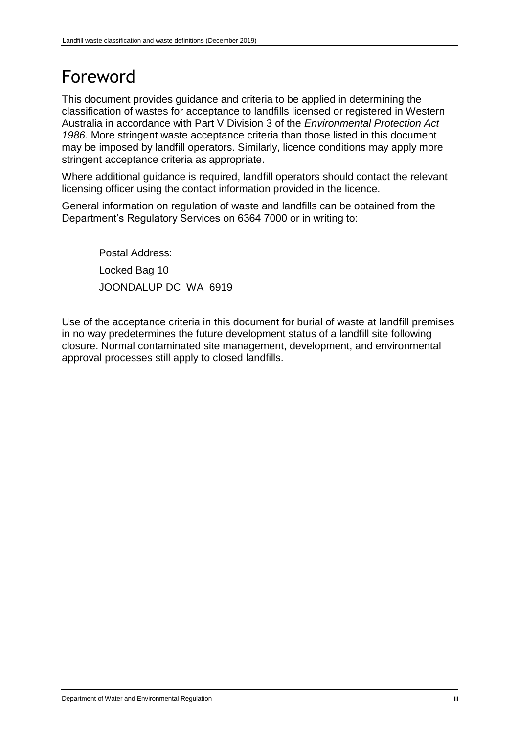## Foreword

This document provides guidance and criteria to be applied in determining the classification of wastes for acceptance to landfills licensed or registered in Western Australia in accordance with Part V Division 3 of the *Environmental Protection Act 1986*. More stringent waste acceptance criteria than those listed in this document may be imposed by landfill operators. Similarly, licence conditions may apply more stringent acceptance criteria as appropriate.

Where additional guidance is required, landfill operators should contact the relevant licensing officer using the contact information provided in the licence.

General information on regulation of waste and landfills can be obtained from the Department's Regulatory Services on 6364 7000 or in writing to:

Postal Address: Locked Bag 10 JOONDALUP DC WA 6919

Use of the acceptance criteria in this document for burial of waste at landfill premises in no way predetermines the future development status of a landfill site following closure. Normal contaminated site management, development, and environmental approval processes still apply to closed landfills.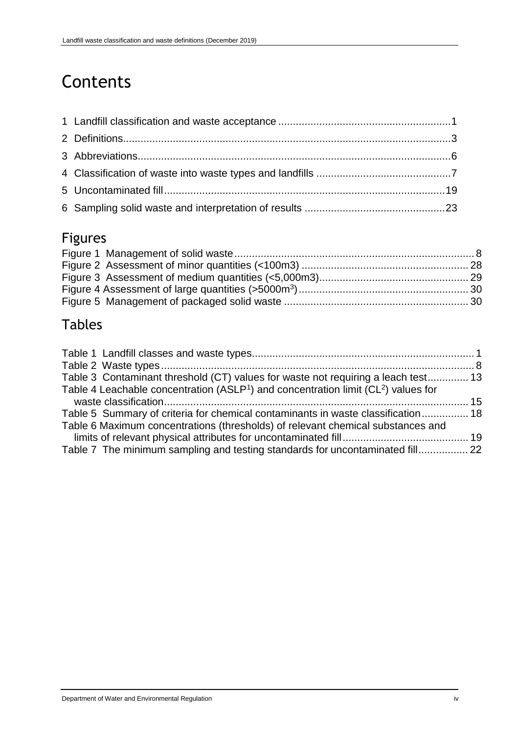# Contents

## Figures

## Tables

| Table 3 Contaminant threshold (CT) values for waste not requiring a leach test 13                                                                                   |  |
|---------------------------------------------------------------------------------------------------------------------------------------------------------------------|--|
| Table 4 Leachable concentration (ASLP <sup>1</sup> ) and concentration limit ( $CL2$ ) values for                                                                   |  |
| Table 5 Summary of criteria for chemical contaminants in waste classification 18<br>Table 6 Maximum concentrations (thresholds) of relevant chemical substances and |  |
|                                                                                                                                                                     |  |
| Table 7 The minimum sampling and testing standards for uncontaminated fill 22                                                                                       |  |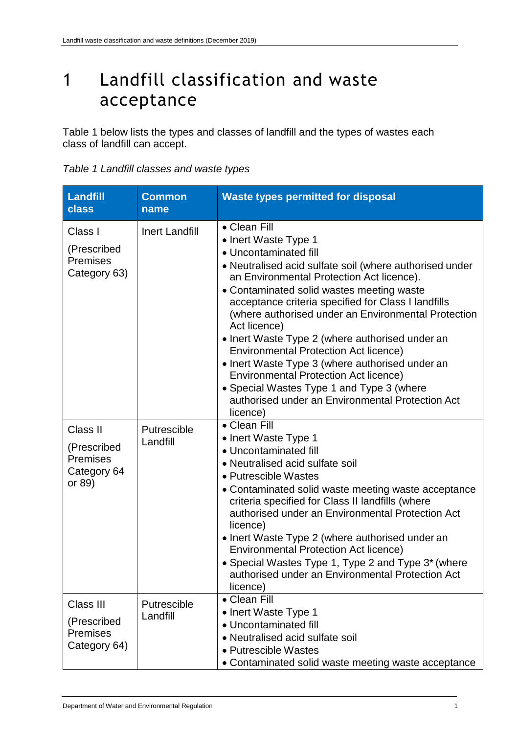## <span id="page-4-0"></span>1 Landfill classification and waste acceptance

Table 1 below lists the types and classes of landfill and the types of wastes each class of landfill can accept.

| Landfill<br>class                                                   | <b>Common</b><br>name   | <b>Waste types permitted for disposal</b>                                                                                                                                                                                                                                                                                                                                                                                                                                                                                                                                                                                                                           |
|---------------------------------------------------------------------|-------------------------|---------------------------------------------------------------------------------------------------------------------------------------------------------------------------------------------------------------------------------------------------------------------------------------------------------------------------------------------------------------------------------------------------------------------------------------------------------------------------------------------------------------------------------------------------------------------------------------------------------------------------------------------------------------------|
| Class I<br>(Prescribed<br><b>Premises</b><br>Category 63)           | <b>Inert Landfill</b>   | • Clean Fill<br>• Inert Waste Type 1<br>• Uncontaminated fill<br>• Neutralised acid sulfate soil (where authorised under<br>an Environmental Protection Act licence).<br>• Contaminated solid wastes meeting waste<br>acceptance criteria specified for Class I landfills<br>(where authorised under an Environmental Protection<br>Act licence)<br>• Inert Waste Type 2 (where authorised under an<br><b>Environmental Protection Act licence)</b><br>• Inert Waste Type 3 (where authorised under an<br><b>Environmental Protection Act licence)</b><br>• Special Wastes Type 1 and Type 3 (where<br>authorised under an Environmental Protection Act<br>licence) |
| Class II<br>(Prescribed<br><b>Premises</b><br>Category 64<br>or 89) | Putrescible<br>Landfill | • Clean Fill<br>• Inert Waste Type 1<br>• Uncontaminated fill<br>• Neutralised acid sulfate soil<br>• Putrescible Wastes<br>• Contaminated solid waste meeting waste acceptance<br>criteria specified for Class II landfills (where<br>authorised under an Environmental Protection Act<br>licence)<br>• Inert Waste Type 2 (where authorised under an<br><b>Environmental Protection Act licence)</b><br>• Special Wastes Type 1, Type 2 and Type 3* (where<br>authorised under an Environmental Protection Act<br>licence)                                                                                                                                        |
| Class III<br>(Prescribed<br><b>Premises</b><br>Category 64)         | Putrescible<br>Landfill | • Clean Fill<br>• Inert Waste Type 1<br>• Uncontaminated fill<br>• Neutralised acid sulfate soil<br>• Putrescible Wastes<br>• Contaminated solid waste meeting waste acceptance                                                                                                                                                                                                                                                                                                                                                                                                                                                                                     |

<span id="page-4-1"></span>

| Table 1 Landfill classes and waste types |  |
|------------------------------------------|--|
|------------------------------------------|--|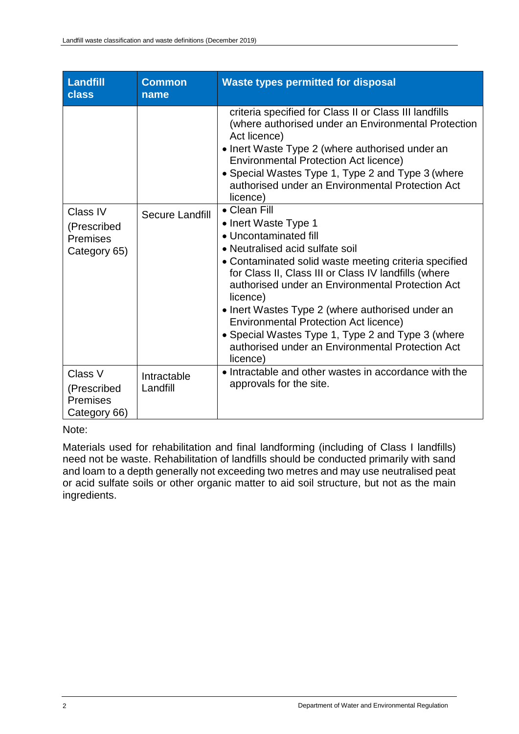| Landfill<br>class                                         | <b>Common</b><br>name   | <b>Waste types permitted for disposal</b>                                                                                                                                                                                                                                                                                                                                                                                                                                                                  |
|-----------------------------------------------------------|-------------------------|------------------------------------------------------------------------------------------------------------------------------------------------------------------------------------------------------------------------------------------------------------------------------------------------------------------------------------------------------------------------------------------------------------------------------------------------------------------------------------------------------------|
|                                                           |                         | criteria specified for Class II or Class III landfills<br>(where authorised under an Environmental Protection<br>Act licence)<br>• Inert Waste Type 2 (where authorised under an<br><b>Environmental Protection Act licence)</b><br>• Special Wastes Type 1, Type 2 and Type 3 (where<br>authorised under an Environmental Protection Act<br>licence)                                                                                                                                                      |
| Class IV<br>(Prescribed<br>Premises<br>Category 65)       | Secure Landfill         | • Clean Fill<br>• Inert Waste Type 1<br>• Uncontaminated fill<br>• Neutralised acid sulfate soil<br>• Contaminated solid waste meeting criteria specified<br>for Class II, Class III or Class IV landfills (where<br>authorised under an Environmental Protection Act<br>licence)<br>• Inert Wastes Type 2 (where authorised under an<br><b>Environmental Protection Act licence)</b><br>• Special Wastes Type 1, Type 2 and Type 3 (where<br>authorised under an Environmental Protection Act<br>licence) |
| Class V<br>(Prescribed<br><b>Premises</b><br>Category 66) | Intractable<br>Landfill | • Intractable and other wastes in accordance with the<br>approvals for the site.                                                                                                                                                                                                                                                                                                                                                                                                                           |

Note:

Materials used for rehabilitation and final landforming (including of Class I landfills) need not be waste. Rehabilitation of landfills should be conducted primarily with sand and loam to a depth generally not exceeding two metres and may use neutralised peat or acid sulfate soils or other organic matter to aid soil structure, but not as the main ingredients.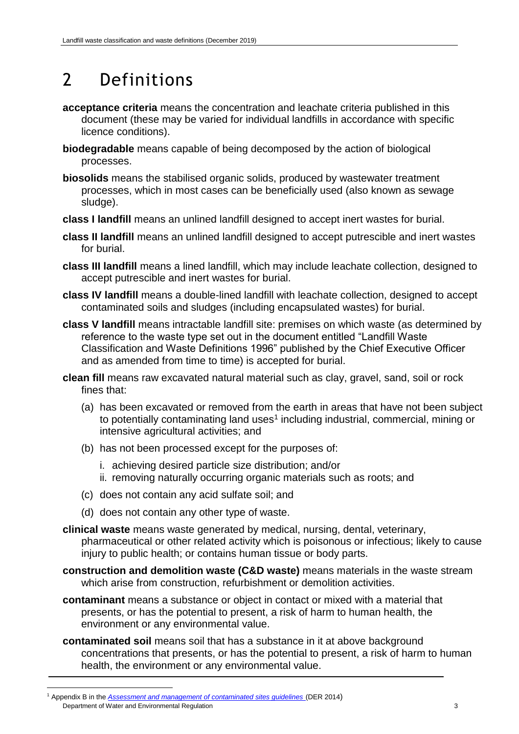# <span id="page-6-0"></span>2 Definitions

- **acceptance criteria** means the concentration and leachate criteria published in this document (these may be varied for individual landfills in accordance with specific licence conditions).
- **biodegradable** means capable of being decomposed by the action of biological processes.
- **biosolids** means the stabilised organic solids, produced by wastewater treatment processes, which in most cases can be beneficially used (also known as sewage sludge).
- **class I landfill** means an unlined landfill designed to accept inert wastes for burial.
- **class II landfill** means an unlined landfill designed to accept putrescible and inert wastes for burial.
- **class III landfill** means a lined landfill, which may include leachate collection, designed to accept putrescible and inert wastes for burial.
- **class IV landfill** means a double-lined landfill with leachate collection, designed to accept contaminated soils and sludges (including encapsulated wastes) for burial.
- **class V landfill** means intractable landfill site: premises on which waste (as determined by reference to the waste type set out in the document entitled "Landfill Waste Classification and Waste Definitions 1996" published by the Chief Executive Officer and as amended from time to time) is accepted for burial.
- **clean fill** means raw excavated natural material such as clay, gravel, sand, soil or rock fines that:
	- (a) has been excavated or removed from the earth in areas that have not been subject to potentially contaminating land uses<sup>1</sup> including industrial, commercial, mining or intensive agricultural activities; and
	- (b) has not been processed except for the purposes of:
		- i. achieving desired particle size distribution; and/or
		- ii. removing naturally occurring organic materials such as roots; and
	- (c) does not contain any acid sulfate soil; and
	- (d) does not contain any other type of waste.
- **clinical waste** means waste generated by medical, nursing, dental, veterinary, pharmaceutical or other related activity which is poisonous or infectious; likely to cause injury to public health; or contains human tissue or body parts.
- **construction and demolition waste (C&D waste)** means materials in the waste stream which arise from construction, refurbishment or demolition activities.
- **contaminant** means a substance or object in contact or mixed with a material that presents, or has the potential to present, a risk of harm to human health, the environment or any environmental value.
- **contaminated soil** means soil that has a substance in it at above background concentrations that presents, or has the potential to present, a risk of harm to human health, the environment or any environmental value.

Department of Water and Environmental Regulation 3 3 1 Appendix B in the *[Assessment and management of contaminated sites guidelines](http://www.der.wa.gov.au/images/documents/your-environment/contaminated-sites/guidelines/Assessment_and_management_of_contaminated_sites.pdf)* (DER 2014)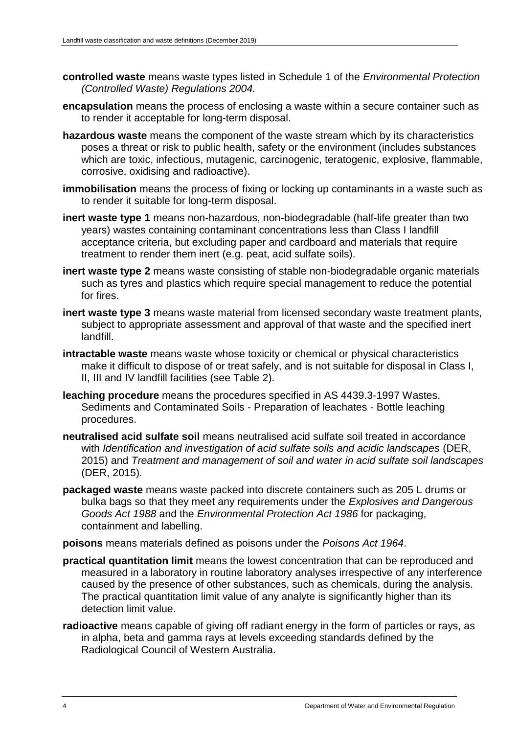- **controlled waste** means waste types listed in Schedule 1 of the *Environmental Protection (Controlled Waste) Regulations 2004.*
- **encapsulation** means the process of enclosing a waste within a secure container such as to render it acceptable for long-term disposal.
- **hazardous waste** means the component of the waste stream which by its characteristics poses a threat or risk to public health, safety or the environment (includes substances which are toxic, infectious, mutagenic, carcinogenic, teratogenic, explosive, flammable, corrosive, oxidising and radioactive).
- **immobilisation** means the process of fixing or locking up contaminants in a waste such as to render it suitable for long-term disposal.
- **inert waste type 1** means non-hazardous, non-biodegradable (half-life greater than two years) wastes containing contaminant concentrations less than Class I landfill acceptance criteria, but excluding paper and cardboard and materials that require treatment to render them inert (e.g. peat, acid sulfate soils).
- **inert waste type 2** means waste consisting of stable non-biodegradable organic materials such as tyres and plastics which require special management to reduce the potential for fires.
- **inert waste type 3** means waste material from licensed secondary waste treatment plants, subject to appropriate assessment and approval of that waste and the specified inert landfill.
- **intractable waste** means waste whose toxicity or chemical or physical characteristics make it difficult to dispose of or treat safely, and is not suitable for disposal in Class I, II, III and IV landfill facilities (see Table 2).
- **leaching procedure** means the procedures specified in AS 4439.3-1997 Wastes, Sediments and Contaminated Soils - Preparation of leachates - Bottle leaching procedures.
- **neutralised acid sulfate soil** means neutralised acid sulfate soil treated in accordance with *Identification and investigation of acid sulfate soils and acidic landscapes* (DER, 2015) and *Treatment and management of soil and water in acid sulfate soil landscapes*  (DER, 2015).
- **packaged waste** means waste packed into discrete containers such as 205 L drums or bulka bags so that they meet any requirements under the *Explosives and Dangerous Goods Act 1988* and the *Environmental Protection Act 1986* for packaging, containment and labelling.

#### **poisons** means materials defined as poisons under the *Poisons Act 1964*.

- **practical quantitation limit** means the lowest concentration that can be reproduced and measured in a laboratory in routine laboratory analyses irrespective of any interference caused by the presence of other substances, such as chemicals, during the analysis. The practical quantitation limit value of any analyte is significantly higher than its detection limit value.
- **radioactive** means capable of giving off radiant energy in the form of particles or rays, as in alpha, beta and gamma rays at levels exceeding standards defined by the Radiological Council of Western Australia.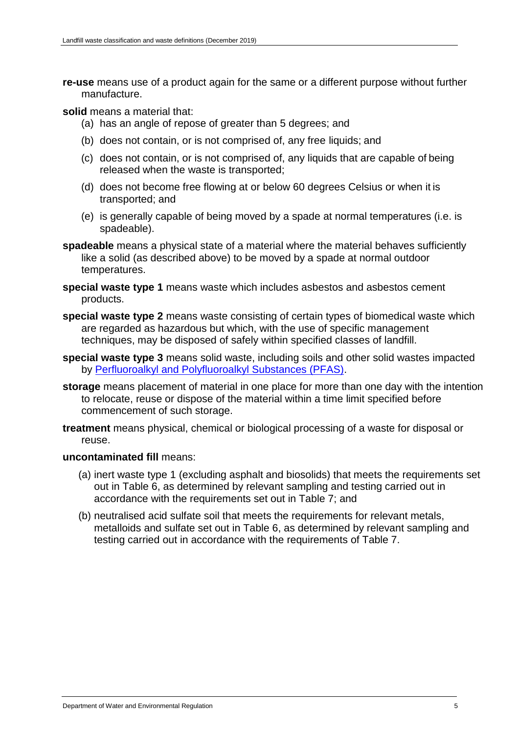**re-use** means use of a product again for the same or a different purpose without further manufacture.

**solid** means a material that:

- (a) has an angle of repose of greater than 5 degrees; and
- (b) does not contain, or is not comprised of, any free liquids; and
- (c) does not contain, or is not comprised of, any liquids that are capable of being released when the waste is transported;
- (d) does not become free flowing at or below 60 degrees Celsius or when it is transported; and
- (e) is generally capable of being moved by a spade at normal temperatures (i.e. is spadeable).
- **spadeable** means a physical state of a material where the material behaves sufficiently like a solid (as described above) to be moved by a spade at normal outdoor temperatures.
- **special waste type 1** means waste which includes asbestos and asbestos cement products.
- **special waste type 2** means waste consisting of certain types of biomedical waste which are regarded as hazardous but which, with the use of specific management techniques, may be disposed of safely within specified classes of landfill.
- **special waste type 3** means solid waste, including soils and other solid wastes impacted by [Perfluoroalkyl and Polyfluoroalkyl Substances \(PFAS\).](https://www.epa.vic.gov.au/for-community/environmental-information/land-groundwater-pollution/pfas-national-environmental-management-plan)
- **storage** means placement of material in one place for more than one day with the intention to relocate, reuse or dispose of the material within a time limit specified before commencement of such storage.
- **treatment** means physical, chemical or biological processing of a waste for disposal or reuse.

#### **uncontaminated fill** means:

- (a) inert waste type 1 (excluding asphalt and biosolids) that meets the requirements set out in Table 6, as determined by relevant sampling and testing carried out in accordance with the requirements set out in Table 7; and
- (b) neutralised acid sulfate soil that meets the requirements for relevant metals, metalloids and sulfate set out in Table 6, as determined by relevant sampling and testing carried out in accordance with the requirements of Table 7.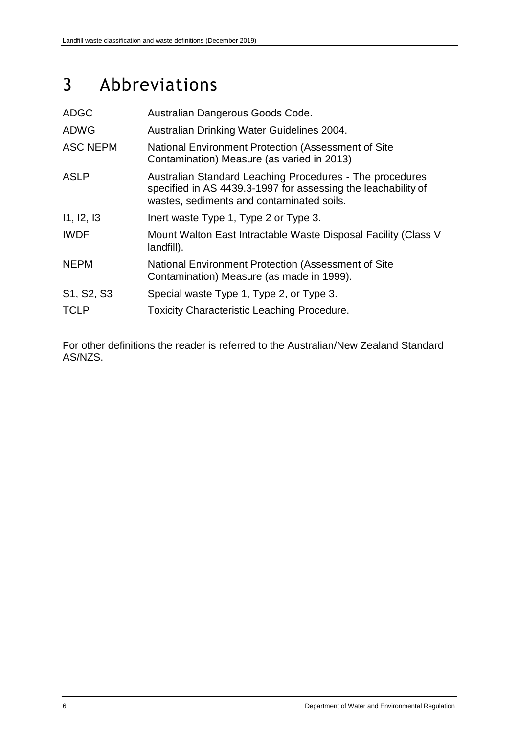## 3 Abbreviations

| <b>ADGC</b>     | Australian Dangerous Goods Code.                                                                                                                                       |
|-----------------|------------------------------------------------------------------------------------------------------------------------------------------------------------------------|
| <b>ADWG</b>     | Australian Drinking Water Guidelines 2004.                                                                                                                             |
| <b>ASC NEPM</b> | National Environment Protection (Assessment of Site<br>Contamination) Measure (as varied in 2013)                                                                      |
| <b>ASLP</b>     | Australian Standard Leaching Procedures - The procedures<br>specified in AS 4439.3-1997 for assessing the leachability of<br>wastes, sediments and contaminated soils. |
| 11, 12, 13      | Inert waste Type 1, Type 2 or Type 3.                                                                                                                                  |
| <b>IWDF</b>     | Mount Walton East Intractable Waste Disposal Facility (Class V<br>landfill).                                                                                           |
| <b>NEPM</b>     | National Environment Protection (Assessment of Site<br>Contamination) Measure (as made in 1999).                                                                       |
| S1, S2, S3      | Special waste Type 1, Type 2, or Type 3.                                                                                                                               |
| <b>TCLP</b>     | <b>Toxicity Characteristic Leaching Procedure.</b>                                                                                                                     |

For other definitions the reader is referred to the Australian/New Zealand Standard AS/NZS.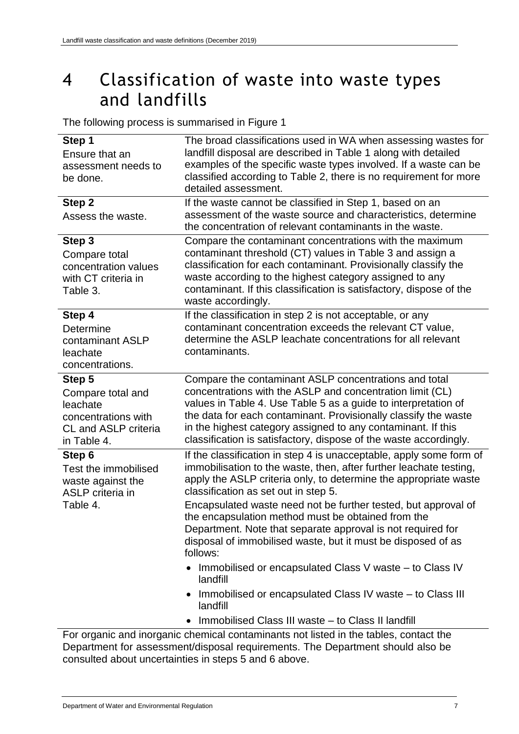## <span id="page-10-0"></span>4 Classification of waste into waste types and landfills

The following process is summarised in Figure 1

| Step 1                                | The broad classifications used in WA when assessing wastes for                                                                            |
|---------------------------------------|-------------------------------------------------------------------------------------------------------------------------------------------|
| Ensure that an                        | landfill disposal are described in Table 1 along with detailed                                                                            |
| assessment needs to<br>be done.       | examples of the specific waste types involved. If a waste can be<br>classified according to Table 2, there is no requirement for more     |
|                                       | detailed assessment.                                                                                                                      |
| Step 2                                | If the waste cannot be classified in Step 1, based on an                                                                                  |
| Assess the waste.                     | assessment of the waste source and characteristics, determine                                                                             |
|                                       | the concentration of relevant contaminants in the waste.                                                                                  |
| Step 3                                | Compare the contaminant concentrations with the maximum<br>contaminant threshold (CT) values in Table 3 and assign a                      |
| Compare total<br>concentration values | classification for each contaminant. Provisionally classify the                                                                           |
| with CT criteria in                   | waste according to the highest category assigned to any                                                                                   |
| Table 3.                              | contaminant. If this classification is satisfactory, dispose of the                                                                       |
|                                       | waste accordingly.                                                                                                                        |
| Step 4                                | If the classification in step 2 is not acceptable, or any<br>contaminant concentration exceeds the relevant CT value,                     |
| Determine<br>contaminant ASLP         | determine the ASLP leachate concentrations for all relevant                                                                               |
| leachate                              | contaminants.                                                                                                                             |
| concentrations.                       |                                                                                                                                           |
| Step 5                                | Compare the contaminant ASLP concentrations and total                                                                                     |
| Compare total and                     | concentrations with the ASLP and concentration limit (CL)                                                                                 |
| leachate<br>concentrations with       | values in Table 4. Use Table 5 as a guide to interpretation of<br>the data for each contaminant. Provisionally classify the waste         |
| <b>CL and ASLP criteria</b>           | in the highest category assigned to any contaminant. If this                                                                              |
| in Table 4.                           | classification is satisfactory, dispose of the waste accordingly.                                                                         |
| Step 6<br>Test the immobilised        | If the classification in step 4 is unacceptable, apply some form of<br>immobilisation to the waste, then, after further leachate testing, |
| waste against the                     | apply the ASLP criteria only, to determine the appropriate waste                                                                          |
| <b>ASLP</b> criteria in               | classification as set out in step 5.                                                                                                      |
| Table 4.                              | Encapsulated waste need not be further tested, but approval of<br>the encapsulation method must be obtained from the                      |
|                                       | Department. Note that separate approval is not required for                                                                               |
|                                       | disposal of immobilised waste, but it must be disposed of as                                                                              |
|                                       | follows:                                                                                                                                  |
|                                       | Immobilised or encapsulated Class V waste – to Class IV<br>landfill                                                                       |
|                                       | Immobilised or encapsulated Class IV waste – to Class III<br>landfill                                                                     |
|                                       | Immobilised Class III waste - to Class II landfill<br>$\bullet$                                                                           |
|                                       | For organic and inorganic chemical contaminants not listed in the tables, contact the                                                     |

Department for assessment/disposal requirements. The Department should also be consulted about uncertainties in steps 5 and 6 above.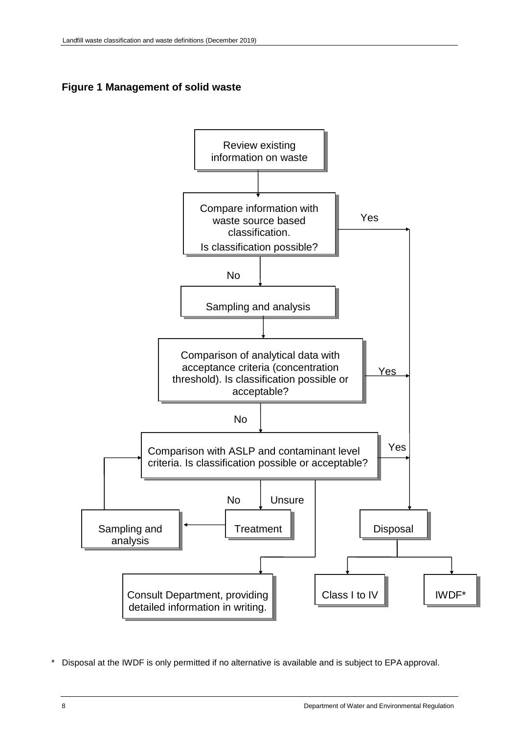<span id="page-11-0"></span>

<span id="page-11-1"></span>

Disposal at the IWDF is only permitted if no alternative is available and is subject to EPA approval.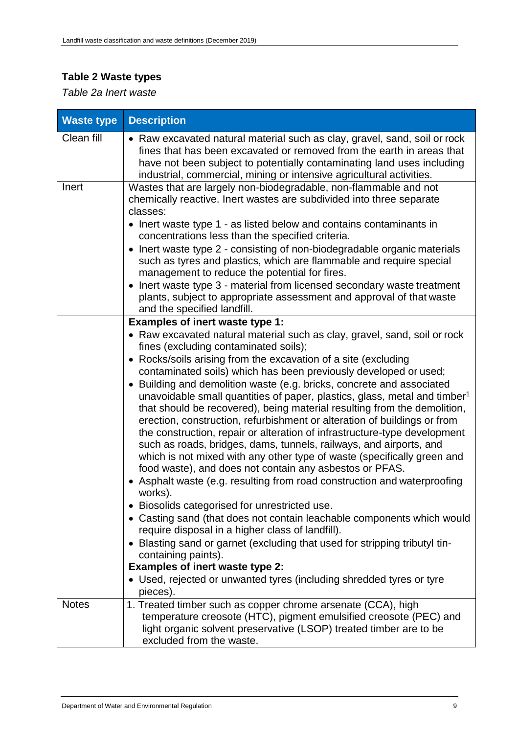## **Table 2 Waste types**

*Table 2a Inert waste*

| <b>Waste type</b> | <b>Description</b>                                                                                                                                                                                                                                                                                                                                                                                                                                                                                                                                                                                                                                                                                                                                                                                                                                                                                                                                                                                                                                                                                                                                                                                                                                                                                                                                                                                                    |
|-------------------|-----------------------------------------------------------------------------------------------------------------------------------------------------------------------------------------------------------------------------------------------------------------------------------------------------------------------------------------------------------------------------------------------------------------------------------------------------------------------------------------------------------------------------------------------------------------------------------------------------------------------------------------------------------------------------------------------------------------------------------------------------------------------------------------------------------------------------------------------------------------------------------------------------------------------------------------------------------------------------------------------------------------------------------------------------------------------------------------------------------------------------------------------------------------------------------------------------------------------------------------------------------------------------------------------------------------------------------------------------------------------------------------------------------------------|
| Clean fill        | • Raw excavated natural material such as clay, gravel, sand, soil or rock<br>fines that has been excavated or removed from the earth in areas that<br>have not been subject to potentially contaminating land uses including<br>industrial, commercial, mining or intensive agricultural activities.                                                                                                                                                                                                                                                                                                                                                                                                                                                                                                                                                                                                                                                                                                                                                                                                                                                                                                                                                                                                                                                                                                                  |
| Inert             | Wastes that are largely non-biodegradable, non-flammable and not<br>chemically reactive. Inert wastes are subdivided into three separate<br>classes:<br>• Inert waste type 1 - as listed below and contains contaminants in<br>concentrations less than the specified criteria.<br>• Inert waste type 2 - consisting of non-biodegradable organic materials<br>such as tyres and plastics, which are flammable and require special<br>management to reduce the potential for fires.<br>Inert waste type 3 - material from licensed secondary waste treatment<br>plants, subject to appropriate assessment and approval of that waste<br>and the specified landfill.                                                                                                                                                                                                                                                                                                                                                                                                                                                                                                                                                                                                                                                                                                                                                   |
|                   | Examples of inert waste type 1:<br>• Raw excavated natural material such as clay, gravel, sand, soil or rock<br>fines (excluding contaminated soils);<br>• Rocks/soils arising from the excavation of a site (excluding<br>contaminated soils) which has been previously developed or used;<br>• Building and demolition waste (e.g. bricks, concrete and associated<br>unavoidable small quantities of paper, plastics, glass, metal and timber <sup>1</sup><br>that should be recovered), being material resulting from the demolition,<br>erection, construction, refurbishment or alteration of buildings or from<br>the construction, repair or alteration of infrastructure-type development<br>such as roads, bridges, dams, tunnels, railways, and airports, and<br>which is not mixed with any other type of waste (specifically green and<br>food waste), and does not contain any asbestos or PFAS.<br>• Asphalt waste (e.g. resulting from road construction and waterproofing<br>works).<br>Biosolids categorised for unrestricted use.<br>• Casting sand (that does not contain leachable components which would<br>require disposal in a higher class of landfill).<br>• Blasting sand or garnet (excluding that used for stripping tributyl tin-<br>containing paints).<br><b>Examples of inert waste type 2:</b><br>• Used, rejected or unwanted tyres (including shredded tyres or tyre<br>pieces). |
| <b>Notes</b>      | 1. Treated timber such as copper chrome arsenate (CCA), high<br>temperature creosote (HTC), pigment emulsified creosote (PEC) and<br>light organic solvent preservative (LSOP) treated timber are to be<br>excluded from the waste.                                                                                                                                                                                                                                                                                                                                                                                                                                                                                                                                                                                                                                                                                                                                                                                                                                                                                                                                                                                                                                                                                                                                                                                   |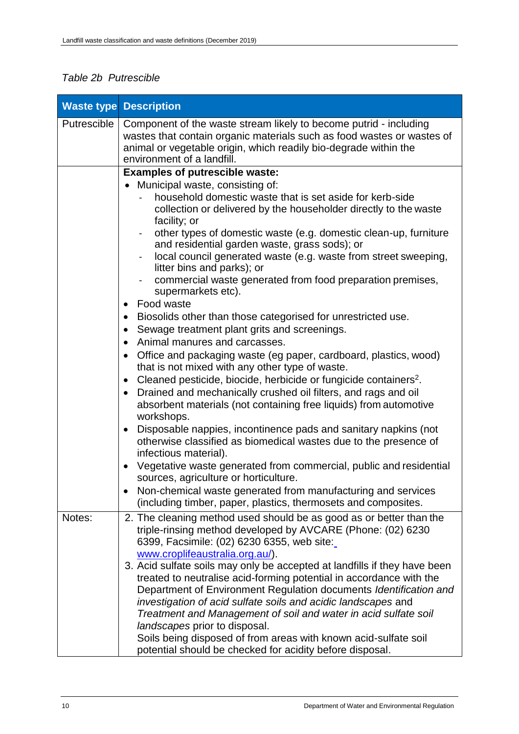## *Table 2b Putrescible*

|             | <b>Waste type Description</b>                                                                                                                                                                                                                                                                                                                                                                |
|-------------|----------------------------------------------------------------------------------------------------------------------------------------------------------------------------------------------------------------------------------------------------------------------------------------------------------------------------------------------------------------------------------------------|
| Putrescible | Component of the waste stream likely to become putrid - including<br>wastes that contain organic materials such as food wastes or wastes of<br>animal or vegetable origin, which readily bio-degrade within the<br>environment of a landfill.                                                                                                                                                |
|             | <b>Examples of putrescible waste:</b>                                                                                                                                                                                                                                                                                                                                                        |
|             | Municipal waste, consisting of:<br>household domestic waste that is set aside for kerb-side<br>collection or delivered by the householder directly to the waste<br>facility; or<br>other types of domestic waste (e.g. domestic clean-up, furniture                                                                                                                                          |
|             | and residential garden waste, grass sods); or<br>local council generated waste (e.g. waste from street sweeping,<br>$\overline{\phantom{0}}$                                                                                                                                                                                                                                                 |
|             | litter bins and parks); or<br>commercial waste generated from food preparation premises,<br>supermarkets etc).                                                                                                                                                                                                                                                                               |
|             | Food waste<br>$\bullet$                                                                                                                                                                                                                                                                                                                                                                      |
|             | Biosolids other than those categorised for unrestricted use.                                                                                                                                                                                                                                                                                                                                 |
|             | Sewage treatment plant grits and screenings.<br>$\bullet$<br>Animal manures and carcasses.<br>$\bullet$                                                                                                                                                                                                                                                                                      |
|             | Office and packaging waste (eg paper, cardboard, plastics, wood)<br>$\bullet$<br>that is not mixed with any other type of waste.                                                                                                                                                                                                                                                             |
|             | Cleaned pesticide, biocide, herbicide or fungicide containers <sup>2</sup> .<br>$\bullet$                                                                                                                                                                                                                                                                                                    |
|             | Drained and mechanically crushed oil filters, and rags and oil<br>$\bullet$<br>absorbent materials (not containing free liquids) from automotive<br>workshops.                                                                                                                                                                                                                               |
|             | Disposable nappies, incontinence pads and sanitary napkins (not<br>$\bullet$<br>otherwise classified as biomedical wastes due to the presence of<br>infectious material).                                                                                                                                                                                                                    |
|             | Vegetative waste generated from commercial, public and residential<br>$\bullet$<br>sources, agriculture or horticulture.                                                                                                                                                                                                                                                                     |
|             | Non-chemical waste generated from manufacturing and services<br>(including timber, paper, plastics, thermosets and composites.                                                                                                                                                                                                                                                               |
| Notes:      | 2. The cleaning method used should be as good as or better than the<br>triple-rinsing method developed by AVCARE (Phone: (02) 6230<br>6399, Facsimile: (02) 6230 6355, web site:                                                                                                                                                                                                             |
|             | www.croplifeaustralia.org.au/).<br>3. Acid sulfate soils may only be accepted at landfills if they have been<br>treated to neutralise acid-forming potential in accordance with the<br>Department of Environment Regulation documents Identification and<br>investigation of acid sulfate soils and acidic landscapes and<br>Treatment and Management of soil and water in acid sulfate soil |
|             | landscapes prior to disposal.<br>Soils being disposed of from areas with known acid-sulfate soil<br>potential should be checked for acidity before disposal.                                                                                                                                                                                                                                 |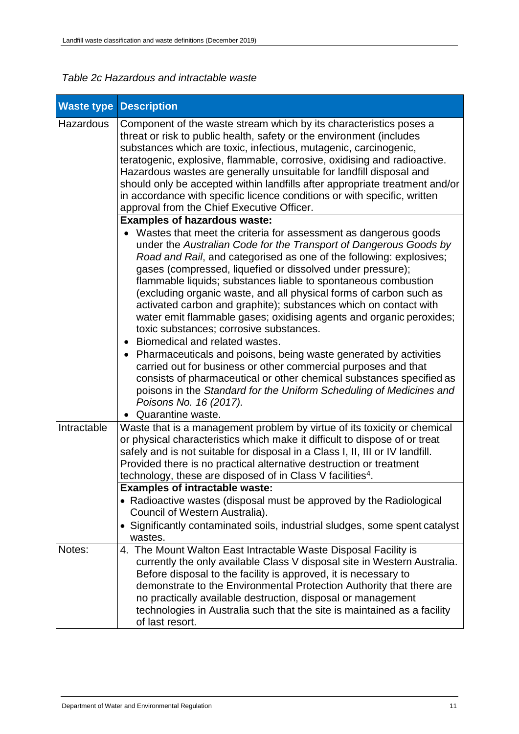| <b>Waste type</b> | <b>Description</b>                                                                                                                                                                                                                                                                                                                                                                                                                                                                                                                                                                                                                                                                                                                                                                                                                                                                                                                                                                                |
|-------------------|---------------------------------------------------------------------------------------------------------------------------------------------------------------------------------------------------------------------------------------------------------------------------------------------------------------------------------------------------------------------------------------------------------------------------------------------------------------------------------------------------------------------------------------------------------------------------------------------------------------------------------------------------------------------------------------------------------------------------------------------------------------------------------------------------------------------------------------------------------------------------------------------------------------------------------------------------------------------------------------------------|
| Hazardous         | Component of the waste stream which by its characteristics poses a<br>threat or risk to public health, safety or the environment (includes<br>substances which are toxic, infectious, mutagenic, carcinogenic,<br>teratogenic, explosive, flammable, corrosive, oxidising and radioactive.<br>Hazardous wastes are generally unsuitable for landfill disposal and<br>should only be accepted within landfills after appropriate treatment and/or<br>in accordance with specific licence conditions or with specific, written<br>approval from the Chief Executive Officer.                                                                                                                                                                                                                                                                                                                                                                                                                        |
|                   | <b>Examples of hazardous waste:</b><br>Wastes that meet the criteria for assessment as dangerous goods<br>under the Australian Code for the Transport of Dangerous Goods by<br>Road and Rail, and categorised as one of the following: explosives;<br>gases (compressed, liquefied or dissolved under pressure);<br>flammable liquids; substances liable to spontaneous combustion<br>(excluding organic waste, and all physical forms of carbon such as<br>activated carbon and graphite); substances which on contact with<br>water emit flammable gases; oxidising agents and organic peroxides;<br>toxic substances; corrosive substances.<br>Biomedical and related wastes.<br>• Pharmaceuticals and poisons, being waste generated by activities<br>carried out for business or other commercial purposes and that<br>consists of pharmaceutical or other chemical substances specified as<br>poisons in the Standard for the Uniform Scheduling of Medicines and<br>Poisons No. 16 (2017). |
|                   | Quarantine waste.                                                                                                                                                                                                                                                                                                                                                                                                                                                                                                                                                                                                                                                                                                                                                                                                                                                                                                                                                                                 |
| Intractable       | Waste that is a management problem by virtue of its toxicity or chemical<br>or physical characteristics which make it difficult to dispose of or treat<br>safely and is not suitable for disposal in a Class I, II, III or IV landfill.<br>Provided there is no practical alternative destruction or treatment<br>technology, these are disposed of in Class V facilities <sup>4</sup> .                                                                                                                                                                                                                                                                                                                                                                                                                                                                                                                                                                                                          |
|                   | <b>Examples of intractable waste:</b><br>• Radioactive wastes (disposal must be approved by the Radiological<br>Council of Western Australia).<br>Significantly contaminated soils, industrial sludges, some spent catalyst<br>wastes.                                                                                                                                                                                                                                                                                                                                                                                                                                                                                                                                                                                                                                                                                                                                                            |
| Notes:            | 4. The Mount Walton East Intractable Waste Disposal Facility is<br>currently the only available Class V disposal site in Western Australia.<br>Before disposal to the facility is approved, it is necessary to<br>demonstrate to the Environmental Protection Authority that there are<br>no practically available destruction, disposal or management<br>technologies in Australia such that the site is maintained as a facility<br>of last resort.                                                                                                                                                                                                                                                                                                                                                                                                                                                                                                                                             |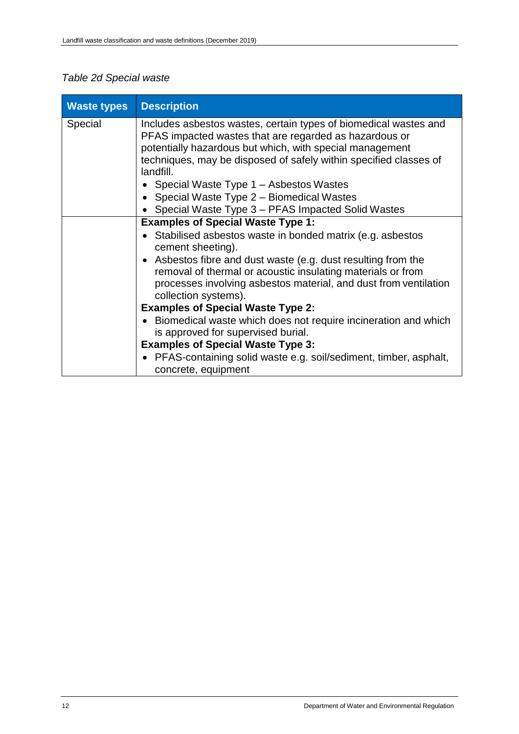## *Table 2d Special waste*

| <b>Waste types</b> | <b>Description</b>                                                                                                                                                                                                                                                                                                                                                     |
|--------------------|------------------------------------------------------------------------------------------------------------------------------------------------------------------------------------------------------------------------------------------------------------------------------------------------------------------------------------------------------------------------|
| Special            | Includes asbestos wastes, certain types of biomedical wastes and<br>PFAS impacted wastes that are regarded as hazardous or<br>potentially hazardous but which, with special management<br>techniques, may be disposed of safely within specified classes of<br>landfill.<br>• Special Waste Type $1 -$ Asbestos Wastes<br>• Special Waste Type $2$ – Biomedical Wastes |
|                    | • Special Waste Type 3 – PFAS Impacted Solid Wastes                                                                                                                                                                                                                                                                                                                    |
|                    | <b>Examples of Special Waste Type 1:</b>                                                                                                                                                                                                                                                                                                                               |
|                    | Stabilised asbestos waste in bonded matrix (e.g. asbestos<br>cement sheeting).                                                                                                                                                                                                                                                                                         |
|                    | • Asbestos fibre and dust waste (e.g. dust resulting from the<br>removal of thermal or acoustic insulating materials or from<br>processes involving asbestos material, and dust from ventilation<br>collection systems).                                                                                                                                               |
|                    | <b>Examples of Special Waste Type 2:</b>                                                                                                                                                                                                                                                                                                                               |
|                    | • Biomedical waste which does not require incineration and which<br>is approved for supervised burial.                                                                                                                                                                                                                                                                 |
|                    | <b>Examples of Special Waste Type 3:</b>                                                                                                                                                                                                                                                                                                                               |
|                    | • PFAS-containing solid waste e.g. soil/sediment, timber, asphalt,<br>concrete, equipment                                                                                                                                                                                                                                                                              |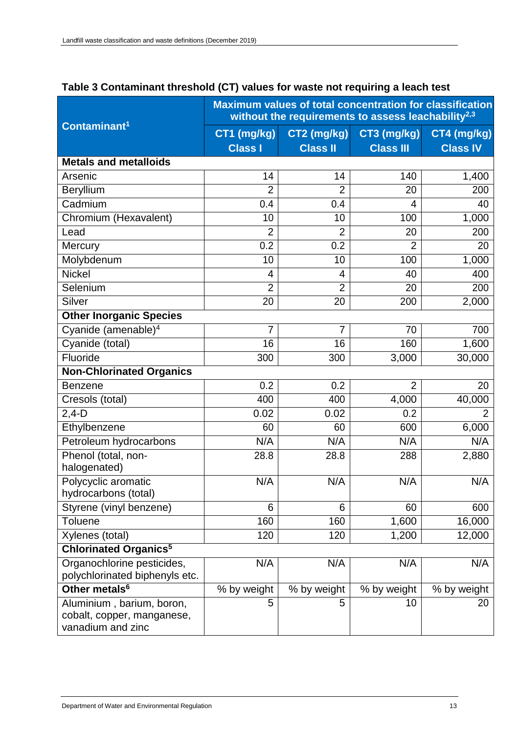|                                                                              | <b>Maximum values of total concentration for classification</b><br>without the requirements to assess leachability <sup>2,3</sup> |                 |                  |                 |  |  |
|------------------------------------------------------------------------------|-----------------------------------------------------------------------------------------------------------------------------------|-----------------|------------------|-----------------|--|--|
| Contaminant <sup>1</sup>                                                     | CT1 (mg/kg)                                                                                                                       | CT2 (mg/kg)     | CT3 (mg/kg)      | CT4 (mg/kg)     |  |  |
|                                                                              | <b>Class I</b>                                                                                                                    | <b>Class II</b> | <b>Class III</b> | <b>Class IV</b> |  |  |
| <b>Metals and metalloids</b>                                                 |                                                                                                                                   |                 |                  |                 |  |  |
| Arsenic                                                                      | 14                                                                                                                                | 14              | 140              | 1,400           |  |  |
| Beryllium                                                                    | $\overline{2}$                                                                                                                    | $\overline{2}$  | 20               | 200             |  |  |
| Cadmium                                                                      | 0.4                                                                                                                               | 0.4             | 4                | 40              |  |  |
| Chromium (Hexavalent)                                                        | 10                                                                                                                                | 10              | 100              | 1,000           |  |  |
| Lead                                                                         | $\overline{2}$                                                                                                                    | $\overline{2}$  | 20               | 200             |  |  |
| Mercury                                                                      | 0.2                                                                                                                               | 0.2             | $\overline{2}$   | 20              |  |  |
| Molybdenum                                                                   | 10                                                                                                                                | 10              | 100              | 1,000           |  |  |
| <b>Nickel</b>                                                                | 4                                                                                                                                 | 4               | 40               | 400             |  |  |
| Selenium                                                                     | $\overline{2}$                                                                                                                    | $\overline{2}$  | 20               | 200             |  |  |
| Silver                                                                       | 20                                                                                                                                | 20              | 200              | 2,000           |  |  |
| <b>Other Inorganic Species</b>                                               |                                                                                                                                   |                 |                  |                 |  |  |
| Cyanide (amenable) <sup>4</sup>                                              | 7                                                                                                                                 | 7               | 70               | 700             |  |  |
| Cyanide (total)                                                              | 16                                                                                                                                | 16              | 160              | 1,600           |  |  |
| Fluoride                                                                     | 300                                                                                                                               | 300             | 3,000            | 30,000          |  |  |
| <b>Non-Chlorinated Organics</b>                                              |                                                                                                                                   |                 |                  |                 |  |  |
| <b>Benzene</b>                                                               | 0.2                                                                                                                               | 0.2             | $\overline{2}$   | 20              |  |  |
| Cresols (total)                                                              | 400                                                                                                                               | 400             | 4,000            | 40,000          |  |  |
| $2,4-D$                                                                      | 0.02                                                                                                                              | 0.02            | 0.2              |                 |  |  |
| Ethylbenzene                                                                 | 60                                                                                                                                | 60              | 600              | 6,000           |  |  |
| Petroleum hydrocarbons                                                       | N/A                                                                                                                               | N/A             | N/A              | N/A             |  |  |
| Phenol (total, non-                                                          | 28.8                                                                                                                              | 28.8            | 288              | 2,880           |  |  |
| halogenated)                                                                 |                                                                                                                                   |                 |                  |                 |  |  |
| Polycyclic aromatic<br>hydrocarbons (total)                                  | N/A                                                                                                                               | N/A             | N/A              | N/A             |  |  |
| Styrene (vinyl benzene)                                                      | 6                                                                                                                                 | 6               | 60               | 600             |  |  |
| Toluene                                                                      | 160                                                                                                                               | 160             | 1,600            | 16,000          |  |  |
| Xylenes (total)                                                              | 120                                                                                                                               | 120             | 1,200            | 12,000          |  |  |
| <b>Chlorinated Organics<sup>5</sup></b>                                      |                                                                                                                                   |                 |                  |                 |  |  |
| Organochlorine pesticides,<br>polychlorinated biphenyls etc.                 | N/A                                                                                                                               | N/A             | N/A              | N/A             |  |  |
| Other metals <sup>6</sup>                                                    | % by weight                                                                                                                       | % by weight     | % by weight      | % by weight     |  |  |
| Aluminium, barium, boron,<br>cobalt, copper, manganese,<br>vanadium and zinc | 5                                                                                                                                 | 5               | 10               | 20              |  |  |

## <span id="page-16-0"></span>**Table 3 Contaminant threshold (CT) values for waste not requiring a leach test**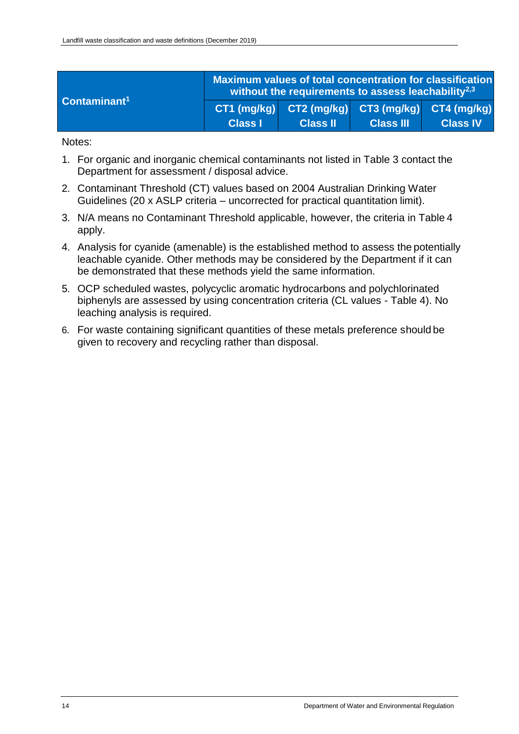| Contaminant <sup>1</sup> | Maximum values of total concentration for classification<br>without the requirements to assess leachability $^{2,3}$ |                                                                                                                        |                  |                 |  |  |
|--------------------------|----------------------------------------------------------------------------------------------------------------------|------------------------------------------------------------------------------------------------------------------------|------------------|-----------------|--|--|
|                          | Class I                                                                                                              | $\overline{CT1}$ (mg/kg) $\overline{CT2}$ (mg/kg) $\overline{CT3}$ (mg/kg) $\overline{CT4}$ (mg/kg)<br><b>Class II</b> | <b>Class III</b> | <b>Class IV</b> |  |  |

Notes:

- 1. For organic and inorganic chemical contaminants not listed in Table 3 contact the Department for assessment / disposal advice.
- 2. Contaminant Threshold (CT) values based on 2004 Australian Drinking Water Guidelines (20 x ASLP criteria – uncorrected for practical quantitation limit).
- 3. N/A means no Contaminant Threshold applicable, however, the criteria in Table 4 apply.
- 4. Analysis for cyanide (amenable) is the established method to assess the potentially leachable cyanide. Other methods may be considered by the Department if it can be demonstrated that these methods yield the same information.
- 5. OCP scheduled wastes, polycyclic aromatic hydrocarbons and polychlorinated biphenyls are assessed by using concentration criteria (CL values - Table 4). No leaching analysis is required.
- 6. For waste containing significant quantities of these metals preference should be given to recovery and recycling rather than disposal.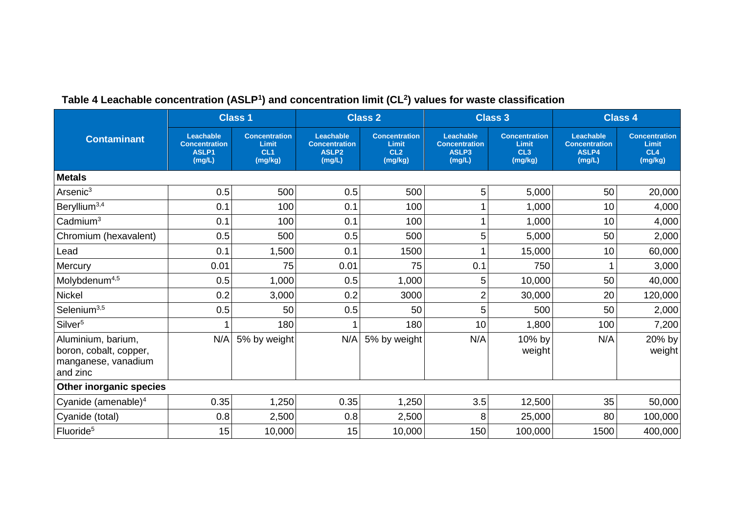<span id="page-18-0"></span>

|                                                                                 |                                                             | <b>Class 1</b>                                              |                                                                  | <b>Class 2</b>                                              |                                                      | <b>Class 3</b>                                              |                                                      | <b>Class 4</b>                                              |
|---------------------------------------------------------------------------------|-------------------------------------------------------------|-------------------------------------------------------------|------------------------------------------------------------------|-------------------------------------------------------------|------------------------------------------------------|-------------------------------------------------------------|------------------------------------------------------|-------------------------------------------------------------|
| <b>Contaminant</b>                                                              | Leachable<br><b>Concentration</b><br><b>ASLP1</b><br>(mg/L) | <b>Concentration</b><br>Limit<br>CL <sub>1</sub><br>(mg/kg) | Leachable<br><b>Concentration</b><br>ASLP <sub>2</sub><br>(mg/L) | <b>Concentration</b><br>Limit<br>CL <sub>2</sub><br>(mg/kg) | Leachable<br><b>Concentration</b><br>ASLP3<br>(mg/L) | <b>Concentration</b><br>Limit<br>CL <sub>3</sub><br>(mg/kg) | Leachable<br><b>Concentration</b><br>ASLP4<br>(mg/L) | <b>Concentration</b><br>Limit<br>CL <sub>4</sub><br>(mg/kg) |
| <b>Metals</b>                                                                   |                                                             |                                                             |                                                                  |                                                             |                                                      |                                                             |                                                      |                                                             |
| Arsenic <sup>3</sup>                                                            | 0.5                                                         | 500                                                         | 0.5                                                              | 500                                                         | 5                                                    | 5,000                                                       | 50                                                   | 20,000                                                      |
| Beryllium <sup>3,4</sup>                                                        | 0.1                                                         | 100                                                         | 0.1                                                              | 100                                                         |                                                      | 1,000                                                       | 10                                                   | 4,000                                                       |
| $C$ admium <sup>3</sup>                                                         | 0.1                                                         | 100                                                         | 0.1                                                              | 100                                                         |                                                      | 1,000                                                       | 10                                                   | 4,000                                                       |
| Chromium (hexavalent)                                                           | 0.5                                                         | 500                                                         | 0.5                                                              | 500                                                         | 5                                                    | 5,000                                                       | 50                                                   | 2,000                                                       |
| Lead                                                                            | 0.1                                                         | 1,500                                                       | 0.1                                                              | 1500                                                        |                                                      | 15,000                                                      | 10                                                   | 60,000                                                      |
| Mercury                                                                         | 0.01                                                        | 75                                                          | 0.01                                                             | 75                                                          | 0.1                                                  | 750                                                         |                                                      | 3,000                                                       |
| Molybdenum <sup>4,5</sup>                                                       | 0.5                                                         | 1,000                                                       | 0.5                                                              | 1,000                                                       | 5                                                    | 10,000                                                      | 50                                                   | 40,000                                                      |
| Nickel                                                                          | 0.2                                                         | 3,000                                                       | 0.2                                                              | 3000                                                        | $\overline{2}$                                       | 30,000                                                      | 20                                                   | 120,000                                                     |
| Selenium <sup>3,5</sup>                                                         | 0.5                                                         | 50                                                          | 0.5                                                              | 50                                                          | 5                                                    | 500                                                         | 50                                                   | 2,000                                                       |
| Silver <sup>5</sup>                                                             | 1                                                           | 180                                                         |                                                                  | 180                                                         | 10                                                   | 1,800                                                       | 100                                                  | 7,200                                                       |
| Aluminium, barium,<br>boron, cobalt, copper,<br>manganese, vanadium<br>and zinc | N/A                                                         | 5% by weight                                                | N/A                                                              | 5% by weight                                                | N/A                                                  | 10% by<br>weight                                            | N/A                                                  | 20% by<br>weight                                            |
| Other inorganic species                                                         |                                                             |                                                             |                                                                  |                                                             |                                                      |                                                             |                                                      |                                                             |
| Cyanide (amenable) $4$                                                          | 0.35                                                        | 1,250                                                       | 0.35                                                             | 1,250                                                       | 3.5                                                  | 12,500                                                      | 35                                                   | 50,000                                                      |
| Cyanide (total)                                                                 | 0.8                                                         | 2,500                                                       | 0.8                                                              | 2,500                                                       | 8                                                    | 25,000                                                      | 80                                                   | 100,000                                                     |
| Fluoride <sup>5</sup>                                                           | 15                                                          | 10,000                                                      | 15                                                               | 10,000                                                      | 150                                                  | 100,000                                                     | 1500                                                 | 400,000                                                     |

### **Table 4 Leachable concentration (ASLP<sup>1</sup> ) and concentration limit (CL<sup>2</sup> ) values for waste classification**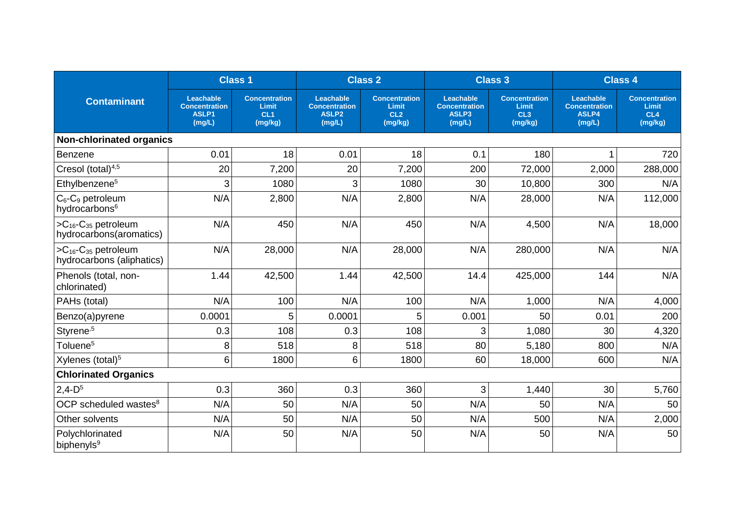|                                                                   |                                                      | <b>Class 1</b>                                              |                                                                         | <b>Class 2</b>                                                     |                                                             | <b>Class 3</b>                                  |                                                      | <b>Class 4</b>                                  |
|-------------------------------------------------------------------|------------------------------------------------------|-------------------------------------------------------------|-------------------------------------------------------------------------|--------------------------------------------------------------------|-------------------------------------------------------------|-------------------------------------------------|------------------------------------------------------|-------------------------------------------------|
| <b>Contaminant</b>                                                | Leachable<br><b>Concentration</b><br>ASLP1<br>(mg/L) | <b>Concentration</b><br>Limit<br>CL <sub>1</sub><br>(mg/kg) | <b>Leachable</b><br><b>Concentration</b><br>ASLP <sub>2</sub><br>(mg/L) | <b>Concentration</b><br><b>Limit</b><br>CL <sub>2</sub><br>(mg/kg) | <b>Leachable</b><br><b>Concentration</b><br>ASLP3<br>(mg/L) | <b>Concentration</b><br>Limit<br>CL3<br>(mg/kg) | Leachable<br><b>Concentration</b><br>ASLP4<br>(mg/L) | <b>Concentration</b><br>Limit<br>CL4<br>(mg/kg) |
| <b>Non-chlorinated organics</b>                                   |                                                      |                                                             |                                                                         |                                                                    |                                                             |                                                 |                                                      |                                                 |
| Benzene                                                           | 0.01                                                 | 18                                                          | 0.01                                                                    | 18                                                                 | 0.1                                                         | 180                                             |                                                      | 720                                             |
| Cresol (total) <sup>4,5</sup>                                     | 20                                                   | 7,200                                                       | 20                                                                      | 7,200                                                              | 200                                                         | 72,000                                          | 2,000                                                | 288,000                                         |
| Ethylbenzene <sup>5</sup>                                         | 3                                                    | 1080                                                        | 3                                                                       | 1080                                                               | 30                                                          | 10,800                                          | 300                                                  | N/A                                             |
| $C_6$ - $C_9$ petroleum<br>hydrocarbons <sup>6</sup>              | N/A                                                  | 2,800                                                       | N/A                                                                     | 2,800                                                              | N/A                                                         | 28,000                                          | N/A                                                  | 112,000                                         |
| $>C_{16}$ - $C_{35}$ petroleum<br>hydrocarbons(aromatics)         | N/A                                                  | 450                                                         | N/A                                                                     | 450                                                                | N/A                                                         | 4,500                                           | N/A                                                  | 18,000                                          |
| $>C_{16}$ -C <sub>35</sub> petroleum<br>hydrocarbons (aliphatics) | N/A                                                  | 28,000                                                      | N/A                                                                     | 28,000                                                             | N/A                                                         | 280,000                                         | N/A                                                  | N/A                                             |
| Phenols (total, non-<br>chlorinated)                              | 1.44                                                 | 42,500                                                      | 1.44                                                                    | 42,500                                                             | 14.4                                                        | 425,000                                         | 144                                                  | N/A                                             |
| PAHs (total)                                                      | N/A                                                  | 100                                                         | N/A                                                                     | 100                                                                | N/A                                                         | 1,000                                           | N/A                                                  | 4,000                                           |
| Benzo(a)pyrene                                                    | 0.0001                                               | 5                                                           | 0.0001                                                                  | 5                                                                  | 0.001                                                       | 50                                              | 0.01                                                 | 200                                             |
| Styrene <sup>,5</sup>                                             | 0.3                                                  | 108                                                         | 0.3                                                                     | 108                                                                | 3                                                           | 1,080                                           | 30                                                   | 4,320                                           |
| Toluene <sup>5</sup>                                              | 8                                                    | 518                                                         | 8                                                                       | 518                                                                | 80                                                          | 5,180                                           | 800                                                  | N/A                                             |
| Xylenes (total) <sup>5</sup>                                      | 6                                                    | 1800                                                        | 6                                                                       | 1800                                                               | 60                                                          | 18,000                                          | 600                                                  | N/A                                             |
| <b>Chlorinated Organics</b>                                       |                                                      |                                                             |                                                                         |                                                                    |                                                             |                                                 |                                                      |                                                 |
| $2,4-D5$                                                          | 0.3                                                  | 360                                                         | 0.3                                                                     | 360                                                                | 3                                                           | 1,440                                           | 30                                                   | 5,760                                           |
| OCP scheduled wastes <sup>8</sup>                                 | N/A                                                  | 50                                                          | N/A                                                                     | 50                                                                 | N/A                                                         | 50                                              | N/A                                                  | 50                                              |
| Other solvents                                                    | N/A                                                  | 50                                                          | N/A                                                                     | 50                                                                 | N/A                                                         | 500                                             | N/A                                                  | 2,000                                           |
| Polychlorinated<br>biphenyls <sup>9</sup>                         | N/A                                                  | 50                                                          | N/A                                                                     | 50                                                                 | N/A                                                         | 50                                              | N/A                                                  | 50                                              |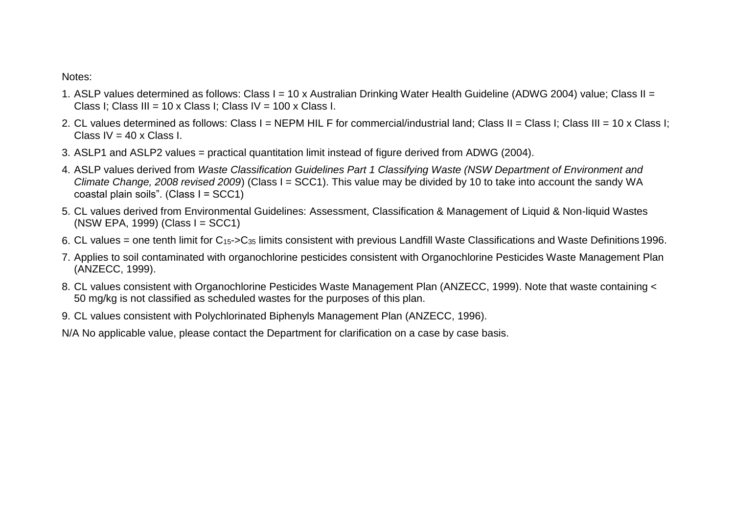Notes:

- 1. ASLP values determined as follows: Class I = 10 x Australian Drinking Water Health Guideline (ADWG 2004) value; Class II = Class I; Class III = 10 x Class I; Class IV = 100 x Class I.
- 2. CL values determined as follows: Class I = NEPM HIL F for commercial/industrial land; Class II = Class I; Class III = 10 x Class I; Class IV =  $40 \times$  Class I.
- 3. ASLP1 and ASLP2 values = practical quantitation limit instead of figure derived from ADWG (2004).
- 4. ASLP values derived from *Waste Classification Guidelines Part 1 Classifying Waste (NSW Department of Environment and Climate Change, 2008 revised 2009*) (Class I = SCC1). This value may be divided by 10 to take into account the sandy WA coastal plain soils". (Class I = SCC1)
- 5. CL values derived from Environmental Guidelines: Assessment, Classification & Management of Liquid & Non-liquid Wastes (NSW EPA, 1999) (Class I = SCC1)
- 6. CL values = one tenth limit for  $C_{15}$ -> $C_{35}$  limits consistent with previous Landfill Waste Classifications and Waste Definitions 1996.
- 7. Applies to soil contaminated with organochlorine pesticides consistent with Organochlorine Pesticides Waste Management Plan (ANZECC, 1999).
- 8. CL values consistent with Organochlorine Pesticides Waste Management Plan (ANZECC, 1999). Note that waste containing < 50 mg/kg is not classified as scheduled wastes for the purposes of this plan.
- 9. CL values consistent with Polychlorinated Biphenyls Management Plan (ANZECC, 1996).
- N/A No applicable value, please contact the Department for clarification on a case by case basis.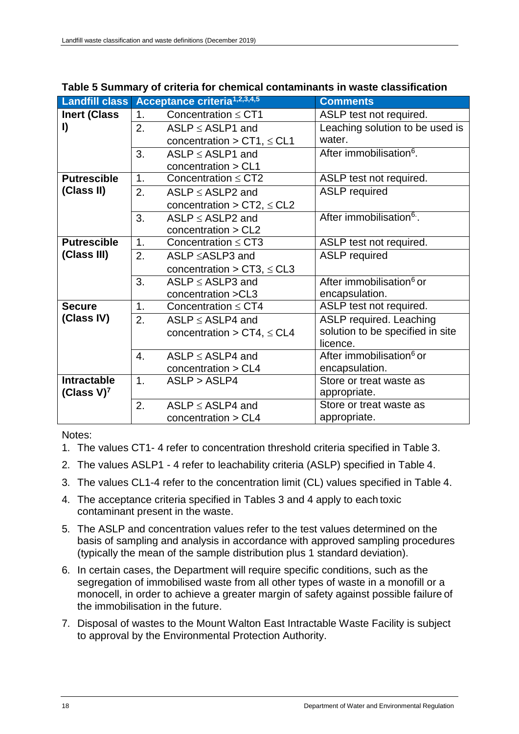|                           |                | Landfill class Acceptance criteria <sup>1,2,3,4,5</sup> | <b>Comments</b>                      |
|---------------------------|----------------|---------------------------------------------------------|--------------------------------------|
| <b>Inert (Class</b>       | 1.             | Concentration $\leq$ CT1                                | ASLP test not required.              |
| I)                        | 2.             | $ASLP \le ASLP1$ and                                    | Leaching solution to be used is      |
|                           |                | concentration > CT1, $\leq$ CL1                         | water.                               |
|                           | 3.             | $ASLP \le ASLP1$ and                                    | After immobilisation <sup>6</sup> .  |
|                           |                | concentration > CL1                                     |                                      |
| <b>Putrescible</b>        | 1.             | Concentration $\leq$ CT2                                | ASLP test not required.              |
| (Class II)                | 2.             | $ASLP \le ASLP2$ and                                    | <b>ASLP</b> required                 |
|                           |                | concentration > CT2, $\leq$ CL2                         |                                      |
|                           | 3.             | $ASLP \le ASLP2$ and                                    | After immobilisation <sup>6</sup> .  |
|                           |                | concentration > CL2                                     |                                      |
| <b>Putrescible</b>        | 1 <sub>1</sub> | Concentration $\leq$ CT3                                | ASLP test not required.              |
| (Class III)               | 2.             | ASLP ≤ASLP3 and                                         | <b>ASLP</b> required                 |
|                           |                | concentration > CT3, $\leq$ CL3                         |                                      |
|                           | 3.             | $ASLP \le ASLP3$ and                                    | After immobilisation <sup>6</sup> or |
|                           |                | concentration > CL3                                     | encapsulation.                       |
| <b>Secure</b>             | 1.             | Concentration $\leq$ CT4                                | ASLP test not required.              |
| (Class IV)                | 2.             | $ASLP \le ASLP4$ and                                    | ASLP required. Leaching              |
|                           |                | concentration > CT4, $\leq$ CL4                         | solution to be specified in site     |
|                           |                |                                                         | licence.                             |
|                           | 4.             | $ASLP \le ASLP4$ and                                    | After immobilisation <sup>6</sup> or |
|                           |                | concentration > CL4                                     | encapsulation.                       |
| <b>Intractable</b>        | 1.             | ASLP > ASLP4                                            | Store or treat waste as              |
| (Class $V$ ) <sup>7</sup> |                |                                                         | appropriate.                         |
|                           | 2.             | $ASLP \le ASLP4$ and                                    | Store or treat waste as              |
|                           |                | concentration > CL4                                     | appropriate.                         |

#### <span id="page-21-0"></span>**Table 5 Summary of criteria for chemical contaminants in waste classification**

Notes:

- 1. The values CT1- 4 refer to concentration threshold criteria specified in Table 3.
- 2. The values ASLP1 4 refer to leachability criteria (ASLP) specified in Table 4.
- 3. The values CL1-4 refer to the concentration limit (CL) values specified in Table 4.
- 4. The acceptance criteria specified in Tables 3 and 4 apply to each toxic contaminant present in the waste.
- 5. The ASLP and concentration values refer to the test values determined on the basis of sampling and analysis in accordance with approved sampling procedures (typically the mean of the sample distribution plus 1 standard deviation).
- 6. In certain cases, the Department will require specific conditions, such as the segregation of immobilised waste from all other types of waste in a monofill or a monocell, in order to achieve a greater margin of safety against possible failure of the immobilisation in the future.
- 7. Disposal of wastes to the Mount Walton East Intractable Waste Facility is subject to approval by the Environmental Protection Authority.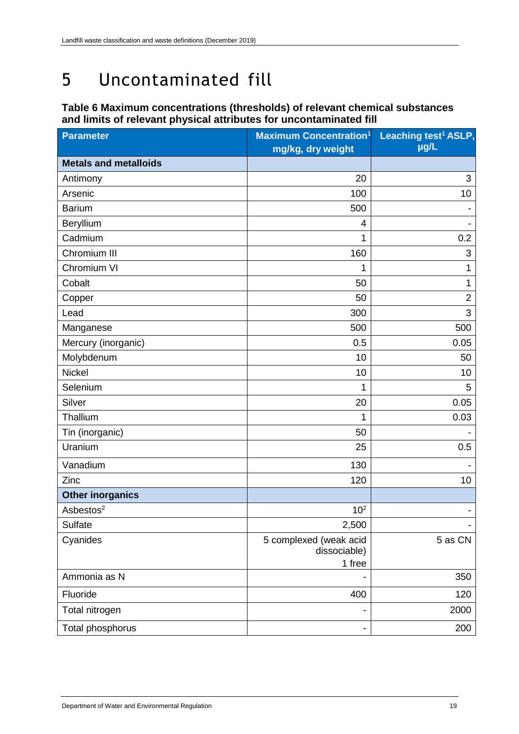# <span id="page-22-0"></span>5 Uncontaminated fill

### <span id="page-22-1"></span>**Table 6 Maximum concentrations (thresholds) of relevant chemical substances and limits of relevant physical attributes for uncontaminated fill**

| <b>Parameter</b>             | <b>Maximum Concentration1</b>          | Leaching test <sup>1</sup> ASLP, |
|------------------------------|----------------------------------------|----------------------------------|
|                              | mg/kg, dry weight                      | µg/L                             |
| <b>Metals and metalloids</b> |                                        |                                  |
| Antimony                     | 20                                     | 3                                |
| Arsenic                      | 100                                    | 10                               |
| <b>Barium</b>                | 500                                    |                                  |
| Beryllium                    | 4                                      |                                  |
| Cadmium                      | 1                                      | 0.2                              |
| Chromium III                 | 160                                    | 3                                |
| Chromium VI                  | 1                                      | 1                                |
| Cobalt                       | 50                                     | 1                                |
| Copper                       | 50                                     | $\overline{2}$                   |
| Lead                         | 300                                    | 3                                |
| Manganese                    | 500                                    | 500                              |
| Mercury (inorganic)          | 0.5                                    | 0.05                             |
| Molybdenum                   | 10                                     | 50                               |
| <b>Nickel</b>                | 10                                     | 10                               |
| Selenium                     | 1                                      | 5                                |
| Silver                       | 20                                     | 0.05                             |
| Thallium                     | 1                                      | 0.03                             |
| Tin (inorganic)              | 50                                     |                                  |
| Uranium                      | 25                                     | 0.5                              |
| Vanadium                     | 130                                    |                                  |
| Zinc                         | 120                                    | 10                               |
| <b>Other inorganics</b>      |                                        |                                  |
| Asbestos <sup>2</sup>        | 10 <sup>2</sup>                        | -                                |
| Sulfate                      | 2,500                                  |                                  |
| Cyanides                     | 5 complexed (weak acid<br>dissociable) | 5 as CN                          |
|                              | 1 free                                 |                                  |
| Ammonia as N                 |                                        | 350                              |
| Fluoride                     | 400                                    | 120                              |
| Total nitrogen               |                                        | 2000                             |
| Total phosphorus             |                                        | 200                              |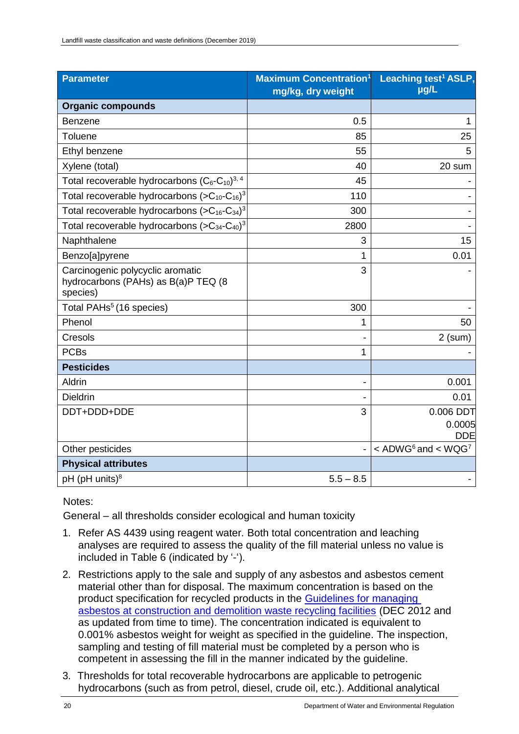| <b>Parameter</b>                                                                    | <b>Maximum Concentration<sup>1</sup></b><br>mg/kg, dry weight | Leaching test <sup>1</sup> ASLP,<br>µg/L       |
|-------------------------------------------------------------------------------------|---------------------------------------------------------------|------------------------------------------------|
| <b>Organic compounds</b>                                                            |                                                               |                                                |
| <b>Benzene</b>                                                                      | 0.5                                                           | 1                                              |
| Toluene                                                                             | 85                                                            | 25                                             |
| Ethyl benzene                                                                       | 55                                                            | 5                                              |
| Xylene (total)                                                                      | 40                                                            | 20 sum                                         |
| Total recoverable hydrocarbons $(C_6-C_{10})^{3,4}$                                 | 45                                                            |                                                |
| Total recoverable hydrocarbons $(SC_{10}-C_{16})^3$                                 | 110                                                           |                                                |
| Total recoverable hydrocarbons $(SC_{16} - C_{34})^3$                               | 300                                                           |                                                |
| Total recoverable hydrocarbons $(SC_{34}-C_{40})^3$                                 | 2800                                                          |                                                |
| Naphthalene                                                                         | 3                                                             | 15                                             |
| Benzo[a]pyrene                                                                      | 1                                                             | 0.01                                           |
| Carcinogenic polycyclic aromatic<br>hydrocarbons (PAHs) as B(a)P TEQ (8<br>species) | 3                                                             |                                                |
| Total PAHs <sup>5</sup> (16 species)                                                | 300                                                           |                                                |
| Phenol                                                                              | 1                                                             | 50                                             |
| Cresols                                                                             |                                                               | $2$ (sum)                                      |
| <b>PCBs</b>                                                                         | 1                                                             |                                                |
| <b>Pesticides</b>                                                                   |                                                               |                                                |
| Aldrin                                                                              |                                                               | 0.001                                          |
| <b>Dieldrin</b>                                                                     |                                                               | 0.01                                           |
| DDT+DDD+DDE                                                                         | 3                                                             | 0.006 DDT                                      |
|                                                                                     |                                                               | 0.0005<br><b>DDE</b>                           |
| Other pesticides                                                                    |                                                               | $<$ ADWG <sup>6</sup> and $<$ WQG <sup>7</sup> |
| <b>Physical attributes</b>                                                          |                                                               |                                                |
| $pH$ ( $pH$ units) <sup>8</sup>                                                     | $5.5 - 8.5$                                                   |                                                |

Notes:

General – all thresholds consider ecological and human toxicity

- 1. Refer AS 4439 using reagent water*.* Both total concentration and leaching analyses are required to assess the quality of the fill material unless no value is included in Table 6 (indicated by '-').
- 2. Restrictions apply to the sale and supply of any asbestos and asbestos cement material other than for disposal. The maximum concentration is based on the product specification for recycled products in the [Guidelines for managing](https://www.der.wa.gov.au/images/documents/our-services/approvals-and-licences/final-guidelines-asbestos-in-cd-recycling--version-1.pdf) [asbestos at construction and demolition waste recycling facilities](https://www.der.wa.gov.au/images/documents/our-services/approvals-and-licences/final-guidelines-asbestos-in-cd-recycling--version-1.pdf) (DEC 2012 and as updated from time to time). The concentration indicated is equivalent to 0.001% asbestos weight for weight as specified in the guideline. The inspection, sampling and testing of fill material must be completed by a person who is competent in assessing the fill in the manner indicated by the guideline.
- 3. Thresholds for total recoverable hydrocarbons are applicable to petrogenic hydrocarbons (such as from petrol, diesel, crude oil, etc.). Additional analytical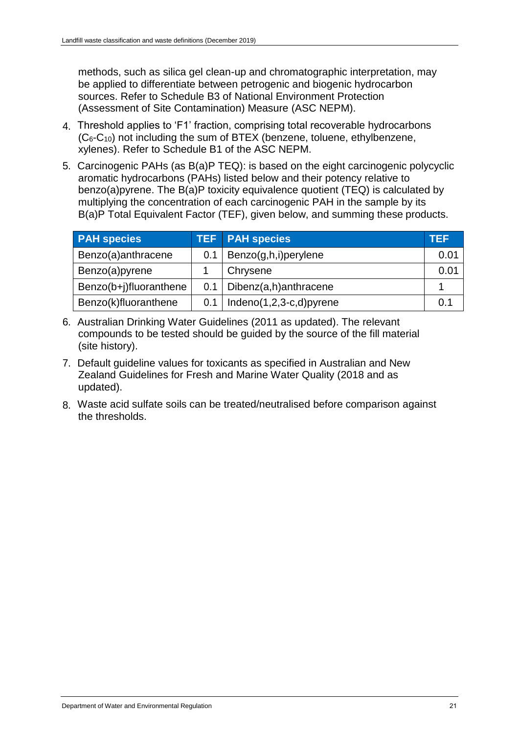methods, such as silica gel clean-up and chromatographic interpretation, may be applied to differentiate between petrogenic and biogenic hydrocarbon sources. Refer to Schedule B3 of National Environment Protection (Assessment of Site Contamination) Measure (ASC NEPM).

- 4. Threshold applies to 'F1' fraction, comprising total recoverable hydrocarbons  $(C<sub>6</sub>-C<sub>10</sub>)$  not including the sum of BTEX (benzene, toluene, ethylbenzene, xylenes). Refer to Schedule B1 of the ASC NEPM.
- 5. Carcinogenic PAHs (as B(a)P TEQ): is based on the eight carcinogenic polycyclic aromatic hydrocarbons (PAHs) listed below and their potency relative to benzo(a)pyrene. The B(a)P toxicity equivalence quotient (TEQ) is calculated by multiplying the concentration of each carcinogenic PAH in the sample by its B(a)P Total Equivalent Factor (TEF), given below, and summing these products.

| <b>PAH</b> species     |     | TEF PAH species             | <b>TEF</b> |
|------------------------|-----|-----------------------------|------------|
| Benzo(a)anthracene     | 0.1 | Benzo(g,h,i)perylene        | 0.01       |
| Benzo(a)pyrene         |     | Chrysene                    | 0.01       |
| Benzo(b+j)fluoranthene | 0.1 | Dibenz(a,h)anthracene       |            |
| Benzo(k)fluoranthene   | 0.1 | Indeno $(1,2,3-c,d)$ pyrene | 0.1        |

- 6. Australian Drinking Water Guidelines (2011 as updated). The relevant compounds to be tested should be guided by the source of the fill material (site history).
- 7. Default guideline values for toxicants as specified in Australian and New Zealand Guidelines for Fresh and Marine Water Quality (2018 and as updated).
- 8. Waste acid sulfate soils can be treated/neutralised before comparison against the thresholds.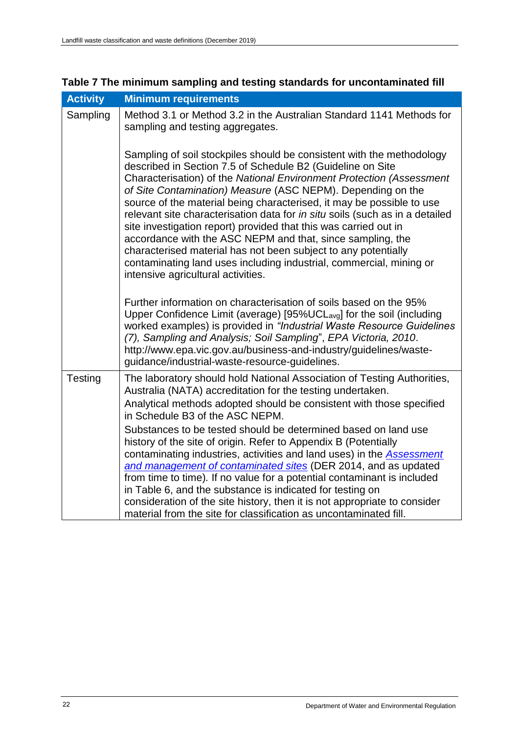| <b>Activity</b> | <b>Minimum requirements</b>                                                                                                                                                                                                                                                                                                                                                                                                                                                                                                                                                                                                                                                                                                                          |
|-----------------|------------------------------------------------------------------------------------------------------------------------------------------------------------------------------------------------------------------------------------------------------------------------------------------------------------------------------------------------------------------------------------------------------------------------------------------------------------------------------------------------------------------------------------------------------------------------------------------------------------------------------------------------------------------------------------------------------------------------------------------------------|
| Sampling        | Method 3.1 or Method 3.2 in the Australian Standard 1141 Methods for<br>sampling and testing aggregates.                                                                                                                                                                                                                                                                                                                                                                                                                                                                                                                                                                                                                                             |
|                 | Sampling of soil stockpiles should be consistent with the methodology<br>described in Section 7.5 of Schedule B2 (Guideline on Site<br>Characterisation) of the National Environment Protection (Assessment<br>of Site Contamination) Measure (ASC NEPM). Depending on the<br>source of the material being characterised, it may be possible to use<br>relevant site characterisation data for in situ soils (such as in a detailed<br>site investigation report) provided that this was carried out in<br>accordance with the ASC NEPM and that, since sampling, the<br>characterised material has not been subject to any potentially<br>contaminating land uses including industrial, commercial, mining or<br>intensive agricultural activities. |
|                 | Further information on characterisation of soils based on the 95%<br>Upper Confidence Limit (average) [95%UCLavg] for the soil (including<br>worked examples) is provided in "Industrial Waste Resource Guidelines<br>(7), Sampling and Analysis; Soil Sampling", EPA Victoria, 2010.<br>http://www.epa.vic.gov.au/business-and-industry/guidelines/waste-<br>guidance/industrial-waste-resource-guidelines.                                                                                                                                                                                                                                                                                                                                         |
| Testing         | The laboratory should hold National Association of Testing Authorities,<br>Australia (NATA) accreditation for the testing undertaken.<br>Analytical methods adopted should be consistent with those specified<br>in Schedule B3 of the ASC NEPM.<br>Substances to be tested should be determined based on land use<br>history of the site of origin. Refer to Appendix B (Potentially<br>contaminating industries, activities and land uses) in the Assessment<br>and management of contaminated sites (DER 2014, and as updated                                                                                                                                                                                                                     |
|                 | from time to time). If no value for a potential contaminant is included<br>in Table 6, and the substance is indicated for testing on<br>consideration of the site history, then it is not appropriate to consider<br>material from the site for classification as uncontaminated fill.                                                                                                                                                                                                                                                                                                                                                                                                                                                               |

## <span id="page-25-0"></span>**Table 7 The minimum sampling and testing standards for uncontaminated fill**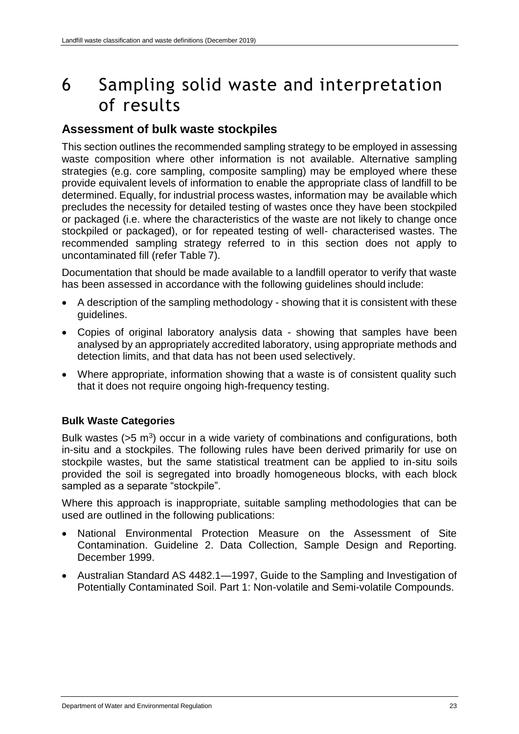## <span id="page-26-0"></span>6 Sampling solid waste and interpretation of results

## **Assessment of bulk waste stockpiles**

This section outlines the recommended sampling strategy to be employed in assessing waste composition where other information is not available. Alternative sampling strategies (e.g. core sampling, composite sampling) may be employed where these provide equivalent levels of information to enable the appropriate class of landfill to be determined. Equally, for industrial process wastes, information may be available which precludes the necessity for detailed testing of wastes once they have been stockpiled or packaged (i.e. where the characteristics of the waste are not likely to change once stockpiled or packaged), or for repeated testing of well- characterised wastes. The recommended sampling strategy referred to in this section does not apply to uncontaminated fill (refer Table 7).

Documentation that should be made available to a landfill operator to verify that waste has been assessed in accordance with the following guidelines should include:

- A description of the sampling methodology showing that it is consistent with these guidelines.
- Copies of original laboratory analysis data showing that samples have been analysed by an appropriately accredited laboratory, using appropriate methods and detection limits, and that data has not been used selectively.
- Where appropriate, information showing that a waste is of consistent quality such that it does not require ongoing high-frequency testing.

## **Bulk Waste Categories**

Bulk wastes  $(55 \text{ m}^3)$  occur in a wide variety of combinations and configurations, both in-situ and a stockpiles. The following rules have been derived primarily for use on stockpile wastes, but the same statistical treatment can be applied to in-situ soils provided the soil is segregated into broadly homogeneous blocks, with each block sampled as a separate "stockpile".

Where this approach is inappropriate, suitable sampling methodologies that can be used are outlined in the following publications:

- National Environmental Protection Measure on the Assessment of Site Contamination. Guideline 2. Data Collection, Sample Design and Reporting. December 1999.
- Australian Standard AS 4482.1—1997, Guide to the Sampling and Investigation of Potentially Contaminated Soil. Part 1: Non-volatile and Semi-volatile Compounds.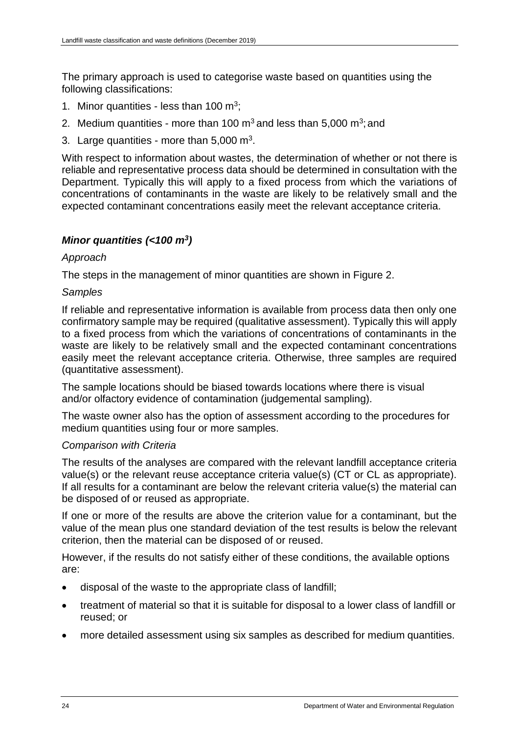The primary approach is used to categorise waste based on quantities using the following classifications:

- 1. Minor quantities less than  $100 \text{ m}^3$ ;
- 2. Medium quantities more than 100 m<sup>3</sup> and less than 5,000 m<sup>3</sup>; and
- 3. Large quantities more than 5,000  $\text{m}^3$ .

With respect to information about wastes, the determination of whether or not there is reliable and representative process data should be determined in consultation with the Department. Typically this will apply to a fixed process from which the variations of concentrations of contaminants in the waste are likely to be relatively small and the expected contaminant concentrations easily meet the relevant acceptance criteria.

## *Minor quantities (<100 m<sup>3</sup> )*

### *Approach*

The steps in the management of minor quantities are shown in Figure 2.

### *Samples*

If reliable and representative information is available from process data then only one confirmatory sample may be required (qualitative assessment). Typically this will apply to a fixed process from which the variations of concentrations of contaminants in the waste are likely to be relatively small and the expected contaminant concentrations easily meet the relevant acceptance criteria. Otherwise, three samples are required (quantitative assessment).

The sample locations should be biased towards locations where there is visual and/or olfactory evidence of contamination (judgemental sampling).

The waste owner also has the option of assessment according to the procedures for medium quantities using four or more samples.

## *Comparison with Criteria*

The results of the analyses are compared with the relevant landfill acceptance criteria value(s) or the relevant reuse acceptance criteria value(s) (CT or CL as appropriate). If all results for a contaminant are below the relevant criteria value(s) the material can be disposed of or reused as appropriate.

If one or more of the results are above the criterion value for a contaminant, but the value of the mean plus one standard deviation of the test results is below the relevant criterion, then the material can be disposed of or reused.

However, if the results do not satisfy either of these conditions, the available options are:

- disposal of the waste to the appropriate class of landfill;
- treatment of material so that it is suitable for disposal to a lower class of landfill or reused; or
- more detailed assessment using six samples as described for medium quantities.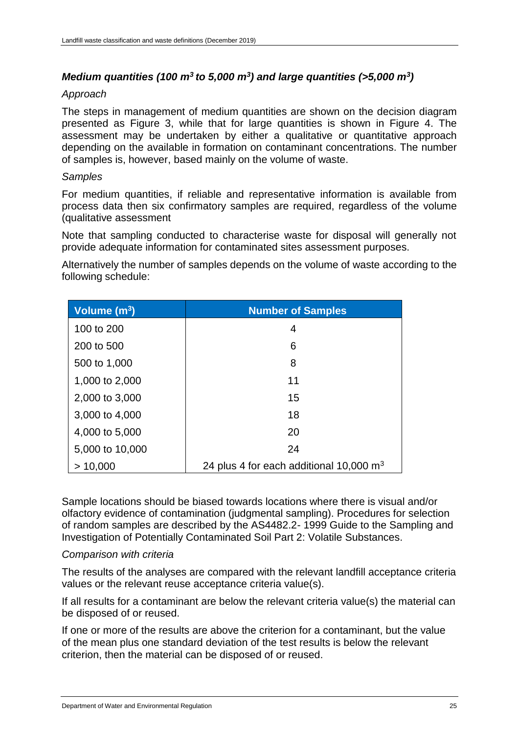## *Medium quantities (100 m<sup>3</sup>to 5,000 m<sup>3</sup> ) and large quantities (>5,000 m<sup>3</sup> )*

#### *Approach*

The steps in management of medium quantities are shown on the decision diagram presented as Figure 3, while that for large quantities is shown in Figure 4. The assessment may be undertaken by either a qualitative or quantitative approach depending on the available in formation on contaminant concentrations. The number of samples is, however, based mainly on the volume of waste.

#### *Samples*

For medium quantities, if reliable and representative information is available from process data then six confirmatory samples are required, regardless of the volume (qualitative assessment

Note that sampling conducted to characterise waste for disposal will generally not provide adequate information for contaminated sites assessment purposes.

Alternatively the number of samples depends on the volume of waste according to the following schedule:

| Volume (m <sup>3</sup> ) | <b>Number of Samples</b>                            |
|--------------------------|-----------------------------------------------------|
| 100 to 200               | 4                                                   |
| 200 to 500               | 6                                                   |
| 500 to 1,000             | 8                                                   |
| 1,000 to 2,000           | 11                                                  |
| 2,000 to 3,000           | 15                                                  |
| 3,000 to 4,000           | 18                                                  |
| 4,000 to 5,000           | 20                                                  |
| 5,000 to 10,000          | 24                                                  |
| > 10,000                 | 24 plus 4 for each additional 10,000 $\mathrm{m}^3$ |

Sample locations should be biased towards locations where there is visual and/or olfactory evidence of contamination (judgmental sampling). Procedures for selection of random samples are described by the AS4482.2- 1999 Guide to the Sampling and Investigation of Potentially Contaminated Soil Part 2: Volatile Substances.

#### *Comparison with criteria*

The results of the analyses are compared with the relevant landfill acceptance criteria values or the relevant reuse acceptance criteria value(s).

If all results for a contaminant are below the relevant criteria value(s) the material can be disposed of or reused.

If one or more of the results are above the criterion for a contaminant, but the value of the mean plus one standard deviation of the test results is below the relevant criterion, then the material can be disposed of or reused.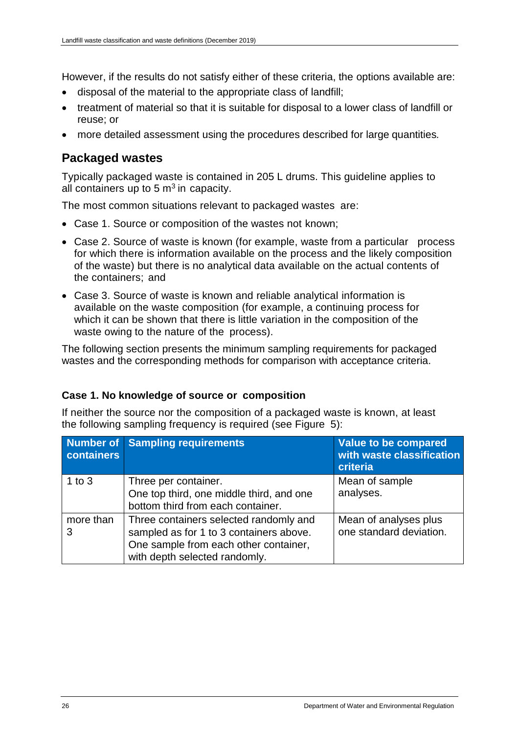However, if the results do not satisfy either of these criteria, the options available are:

- disposal of the material to the appropriate class of landfill;
- treatment of material so that it is suitable for disposal to a lower class of landfill or reuse; or
- more detailed assessment using the procedures described for large quantities*.*

## **Packaged wastes**

Typically packaged waste is contained in 205 L drums. This guideline applies to all containers up to  $5 \text{ m}^3$  in capacity.

The most common situations relevant to packaged wastes are:

- Case 1. Source or composition of the wastes not known;
- Case 2. Source of waste is known (for example, waste from a particular process for which there is information available on the process and the likely composition of the waste) but there is no analytical data available on the actual contents of the containers; and
- Case 3. Source of waste is known and reliable analytical information is available on the waste composition (for example, a continuing process for which it can be shown that there is little variation in the composition of the waste owing to the nature of the process).

The following section presents the minimum sampling requirements for packaged wastes and the corresponding methods for comparison with acceptance criteria.

## **Case 1. No knowledge of source or composition**

If neither the source nor the composition of a packaged waste is known, at least the following sampling frequency is required (see Figure 5):

| containers     | <b>Number of Sampling requirements</b>                                                                                                                      | Value to be compared<br>with waste classification<br>criteria |
|----------------|-------------------------------------------------------------------------------------------------------------------------------------------------------------|---------------------------------------------------------------|
| 1 to $3$       | Three per container.<br>One top third, one middle third, and one<br>bottom third from each container.                                                       | Mean of sample<br>analyses.                                   |
| more than<br>3 | Three containers selected randomly and<br>sampled as for 1 to 3 containers above.<br>One sample from each other container,<br>with depth selected randomly. | Mean of analyses plus<br>one standard deviation.              |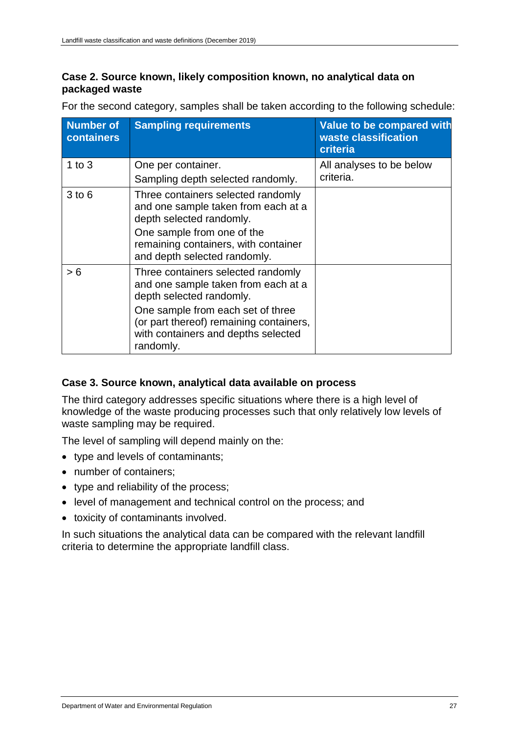## **Case 2. Source known, likely composition known, no analytical data on packaged waste**

| <b>Number of</b><br>containers | <b>Sampling requirements</b>                                                                                                                                                                                                              | Value to be compared with<br>waste classification<br>criteria |
|--------------------------------|-------------------------------------------------------------------------------------------------------------------------------------------------------------------------------------------------------------------------------------------|---------------------------------------------------------------|
| 1 to $3$                       | One per container.<br>Sampling depth selected randomly.                                                                                                                                                                                   | All analyses to be below<br>criteria.                         |
| $3$ to $6$                     | Three containers selected randomly<br>and one sample taken from each at a<br>depth selected randomly.<br>One sample from one of the<br>remaining containers, with container<br>and depth selected randomly.                               |                                                               |
| > 6                            | Three containers selected randomly<br>and one sample taken from each at a<br>depth selected randomly.<br>One sample from each set of three<br>(or part thereof) remaining containers,<br>with containers and depths selected<br>randomly. |                                                               |

For the second category, samples shall be taken according to the following schedule:

## **Case 3. Source known, analytical data available on process**

The third category addresses specific situations where there is a high level of knowledge of the waste producing processes such that only relatively low levels of waste sampling may be required.

The level of sampling will depend mainly on the:

- type and levels of contaminants;
- number of containers:
- type and reliability of the process;
- level of management and technical control on the process; and
- toxicity of contaminants involved.

In such situations the analytical data can be compared with the relevant landfill criteria to determine the appropriate landfill class.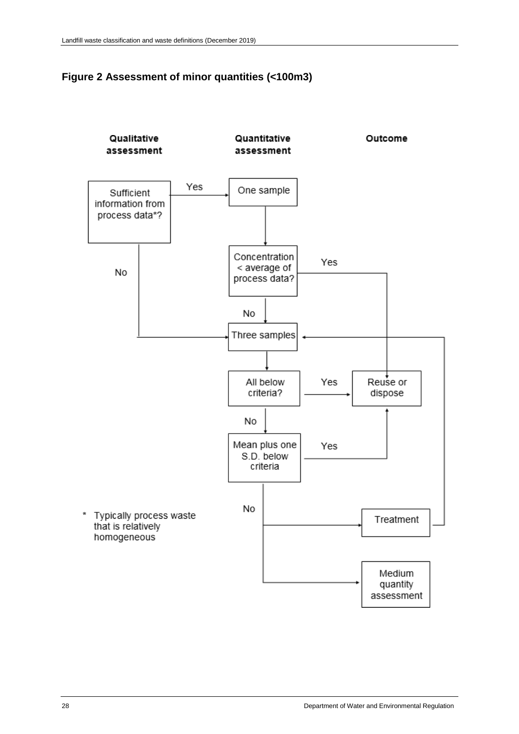<span id="page-31-0"></span>

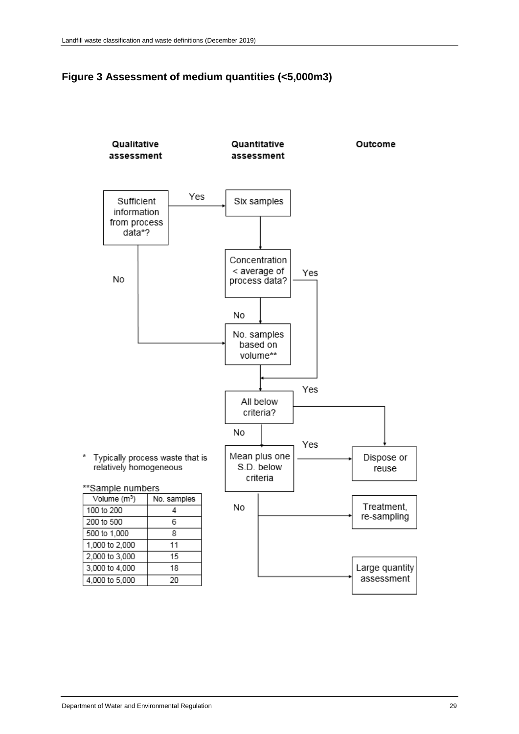<span id="page-32-0"></span>

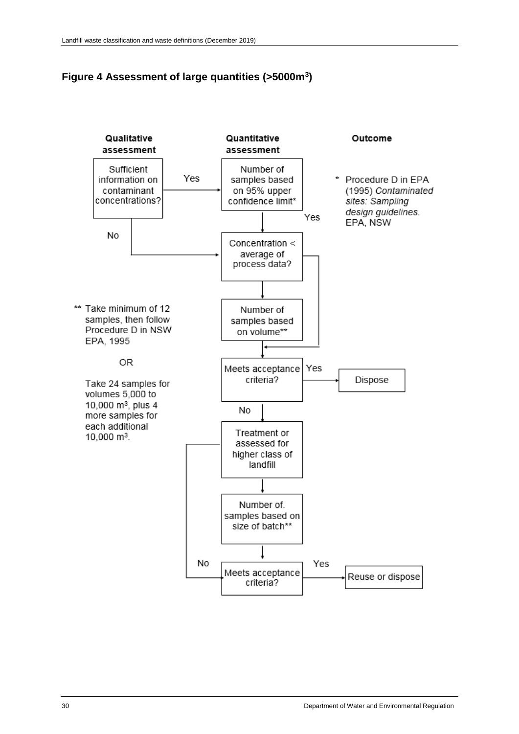### <span id="page-33-0"></span>**Figure 4 Assessment of large quantities (>5000m<sup>3</sup> )**